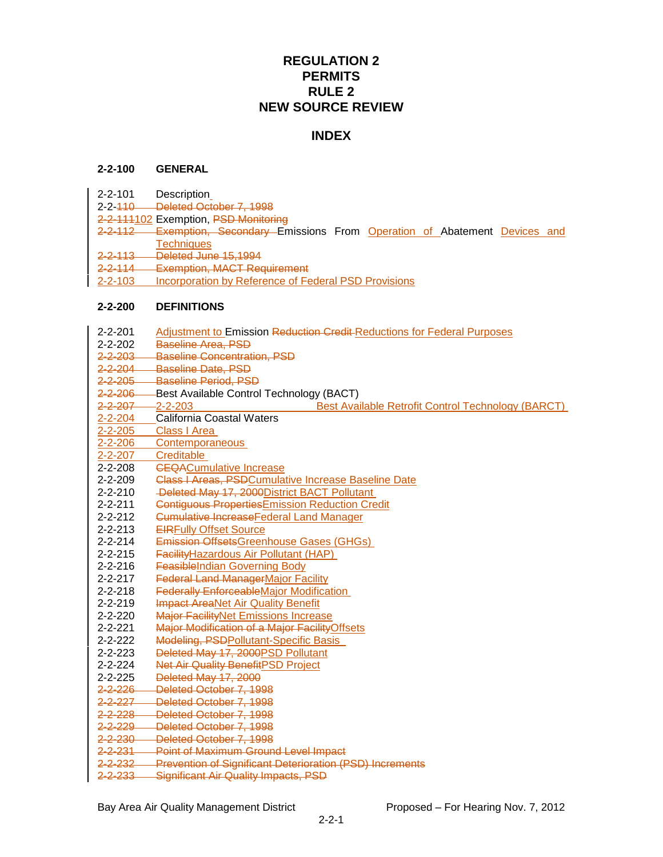# **REGULATION 2 PERMITS RULE 2 NEW SOURCE REVIEW**

# **INDEX**

#### **2-2-100 GENERAL**

- 2-2-101 Description
- 2-2-110 Deleted October 7, 1998
- 2-2-111102 Exemption, PSD Monitoring
- 2-2-112 Exemption, Secondary Emissions From Operation of Abatement Devices and **Techniques**
- 2-2-113 Deleted June 15,1994
- 2-2-114 Exemption, MACT Requirement
- 2-2-103 Incorporation by Reference of Federal PSD Provisions

#### **2-2-200 DEFINITIONS**

2-2-201 Adjustment to Emission Reduction Credit Reductions for Federal Purposes 2-2-202 Baseline Area, PSD 2-2-203 Baseline Concentration, PSD 2-2-204 Baseline Date, PSD 2-2-205 Baseline Period, PSD 2-2-206 Best Available Control Technology (BACT)<br>2-2-207 Best Ava **Best Available Retrofit Control Technology (BARCT)** 2-2-204 California Coastal Waters 2-2-205 Class I Area 2-2-206 Contemporaneous 2-2-207 Creditable 2-2-208 **CEQACumulative Increase** 2-2-209 Class I Areas, PSDCumulative Increase Baseline Date 2-2-210 Deleted May 17, 2000 District BACT Pollutant 2-2-211 Contiguous Properties Emission Reduction Credit 2-2-212 <del>Cumulative Increase Federal Land Manager</del> 2-2-213 EIRFully Offset Source 2-2-214 Emission OffsetsGreenhouse Gases (GHGs) 2-2-215 Facility Hazardous Air Pollutant (HAP) 2-2-216 FeasibleIndian Governing Body 2-2-217 **Federal Land ManagerMajor Facility** 2-2-218 Federally EnforceableMajor Modification 2-2-219 **Impact AreaNet Air Quality Benefit** 2-2-220 Major FacilityNet Emissions Increase 2-2-221 Major Modification of a Major FacilityOffsets 2-2-222 Modeling, PSDPollutant-Specific Basis 2-2-223 Deleted May 17, 2000PSD Pollutant 2-2-224 Net Air Quality BenefitPSD Project 2-2-225 Deleted May 17, 2000 2-2-226 Deleted October 7, 1998 2-2-227 Deleted October 7, 1998 2-2-228 Deleted October 7, 1998 2-2-229 Deleted October 7, 1998 2-2-230 Deleted October 7, 1998 2-2-231 Point of Maximum Ground Level Impact 2-2-232 Prevention of Significant Deterioration (PSD) Increments 2-2-233 Significant Air Quality Impacts, PSD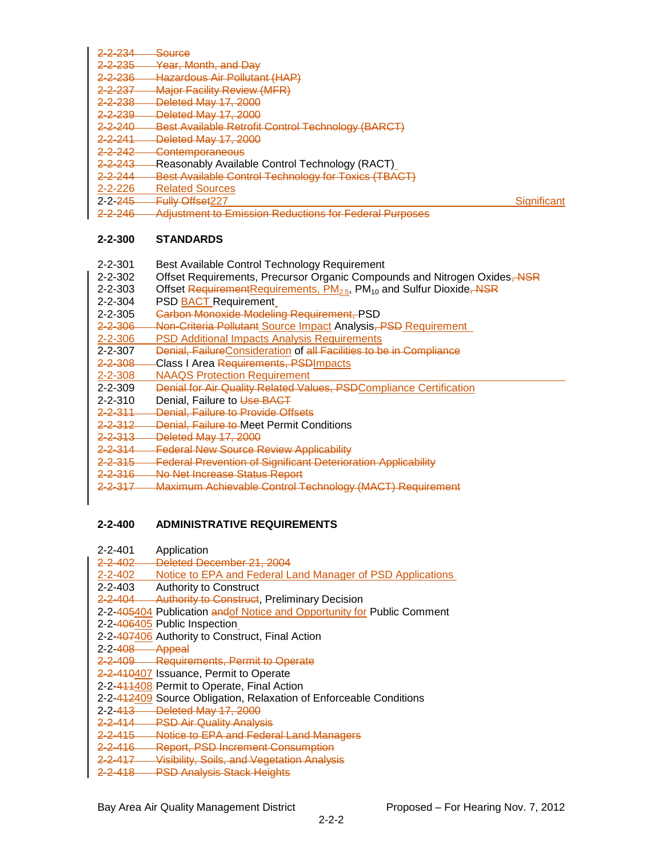| 2-2-234                 | <b>Source</b>                                                                               |             |
|-------------------------|---------------------------------------------------------------------------------------------|-------------|
| 2-2-235                 | Year, Month, and Day                                                                        |             |
| 2-2-236                 | <b>Hazardous Air Pollutant (HAP)</b>                                                        |             |
| 2-2-237                 | <b>Major Facility Review (MFR)</b>                                                          |             |
| 2-2-238                 | Deleted May 17, 2000                                                                        |             |
| 2-2-239                 | Deleted May 17, 2000                                                                        |             |
| $2 - 2 - 240$           | Best Available Retrofit Control Technology (BARCT)                                          |             |
| <del>2-2-241</del>      | Deleted May 17, 2000                                                                        |             |
| 2-2-242                 | <b>Contemporaneous</b>                                                                      |             |
| <del>2-2-243</del>      | -Reasonably Available Control Technology (RACT)                                             |             |
| 2-2-244                 | Best Available Control Technology for Toxics (TBACT)                                        |             |
| $2 - 2 - 226$           | <b>Related Sources</b>                                                                      |             |
| $2 - 2 - \frac{245}{5}$ | <b>Fully Offset227</b>                                                                      | Significant |
| <del>2-2-246</del>      | Adiustment to Emission Reductions for Federal Purposes<br><del>nungommom to Limoolohi</del> |             |

# **2-2-300 STANDARDS**

- 2-2-301 Best Available Control Technology Requirement
- 2-2-302 Offset Requirements, Precursor Organic Compounds and Nitrogen Oxides, NSR
- 2-2-303 Offset RequirementRequirements, PM<sub>2.5</sub>, PM<sub>10</sub> and Sulfur Dioxide, NSR 2-2-304 PSD BACT Requirement
- PSD **BACT** Requirement
- 2-2-305 Carbon Monoxide Modeling Requirement, PSD
- 2-2-306 Non-Criteria Pollutant Source Impact Analysis, PSD Requirement<br>2-2-306 PSD Additional Impacts Analysis Requirements
- **PSD Additional Impacts Analysis Requirements**
- 2-2-307 Denial, FailureConsideration of all Facilities to be in Compliance
- 2-2-308 Class I Area Requirements, PSDImpacts
- 2-2-308 NAAQS Protection Requirement
- 2-2-309 Denial for Air Quality Related Values, PSDCompliance Certification
- 2-2-310 Denial, Failure to Use BACT
- 2-2-311 Denial, Failure to Provide Offsets<br>2-2-312 Denial, Failure to Meet Permit Co
- Denial, Failure to Meet Permit Conditions
- 2-2-313 Deleted May 17, 2000
- 2-2-314 Federal New Source Review Applicability
- 2-2-315 Federal Prevention of Significant Deterioration Applicability
- 2-2-316 No Net Increase Status Report
- 2-2-317 Maximum Achievable Control Technology (MACT) Requirement

# **2-2-400 ADMINISTRATIVE REQUIREMENTS**

| $2 - 2 - 401$      | Application                                                            |
|--------------------|------------------------------------------------------------------------|
| <del>2-2-402</del> | Deleted December 21, 2004                                              |
| $2 - 2 - 402$      | Notice to EPA and Federal Land Manager of PSD Applications             |
| $2 - 2 - 403$      | <b>Authority to Construct</b>                                          |
| <del>2-2-404</del> | <b>Authority to Construct, Preliminary Decision</b>                    |
|                    | 2-2-405404 Publication andof Notice and Opportunity for Public Comment |
|                    | 2-2-406405 Public Inspection                                           |
|                    | 2-2-407406 Authority to Construct, Final Action                        |
| $2-2-408$ Appeal   |                                                                        |
|                    | 2-2-409 Requirements, Permit to Operate                                |
|                    | 2-2-410407 Issuance, Permit to Operate                                 |
|                    | 2-2-441408 Permit to Operate, Final Action                             |
|                    | 2-2-412409 Source Obligation, Relaxation of Enforceable Conditions     |
| $2 - 2 - 413$      | Deleted May 17, 2000                                                   |
| $2 - 2 - 414$      | <b>PSD Air Quality Analysis</b>                                        |
| 2-2-415            | Notice to EPA and Federal Land Managers                                |
| <del>2-2-416</del> | <b>Report, PSD Increment Consumption</b>                               |
| <del>2-2-417</del> | Visibility, Soils, and Vegetation Analysis                             |
|                    |                                                                        |

2-2-418 PSD Analysis Stack Heights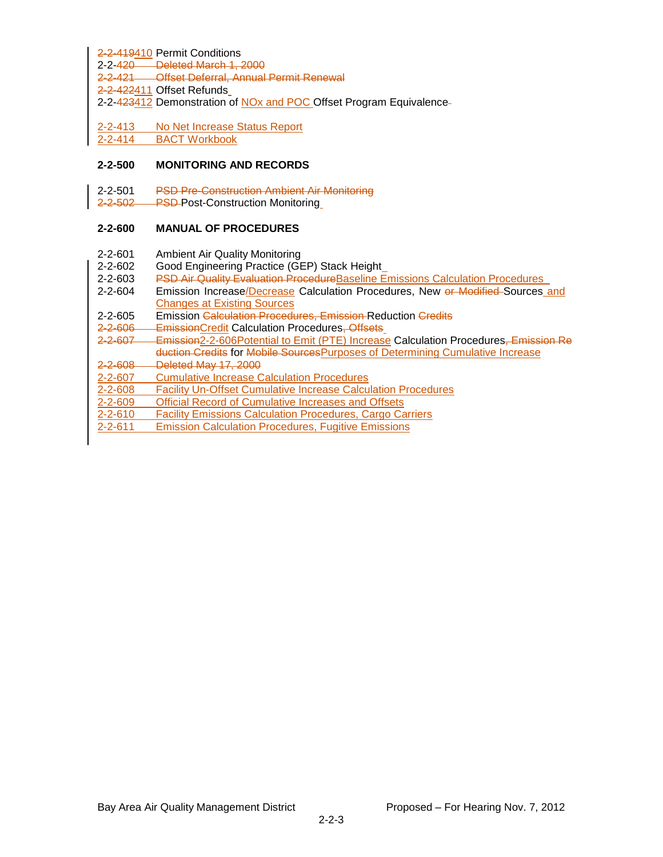2-2-419410 Permit Conditions

2-2-420 Deleted March 1, 2000

2-2-421 Offset Deferral, Annual Permit Renewal

2-2-422411 Offset Refunds

2-2-423412 Demonstration of NOx and POC Offset Program Equivalence-

2-2-413 No Net Increase Status Report 2-2-414 BACT Workbook

### **2-2-500 MONITORING AND RECORDS**

2-2-501 PSD Pre-Construction Ambient Air Monitoring

2-2-502 PSD-Post-Construction Monitoring

# **2-2-600 MANUAL OF PROCEDURES**

- 2-2-601 Ambient Air Quality Monitoring
- 2-2-602 Good Engineering Practice (GEP) Stack Height
- 2-2-603 PSD Air Quality Evaluation Procedure Baseline Emissions Calculation Procedures
- 2-2-604 Emission Increase/Decrease Calculation Procedures, New or Modified-Sources and Changes at Existing Sources
- 2-2-605 Emission Calculation Procedures, Emission Reduction Credits
- 2-2-606 EmissionCredit Calculation Procedures, Offsets
- 2-2-607 Emission2-2-606Potential to Emit (PTE) Increase Calculation Procedures, Emission Re duction Credits for Mobile Sources Purposes of Determining Cumulative Increase
- 2-2-608 Deleted May 17, 2000
- 2-2-607 Cumulative Increase Calculation Procedures
- 2-2-608 Facility Un-Offset Cumulative Increase Calculation Procedures
- 2-2-609 Official Record of Cumulative Increases and Offsets
- 2-2-610 Facility Emissions Calculation Procedures, Cargo Carriers
- 2-2-611 Emission Calculation Procedures, Fugitive Emissions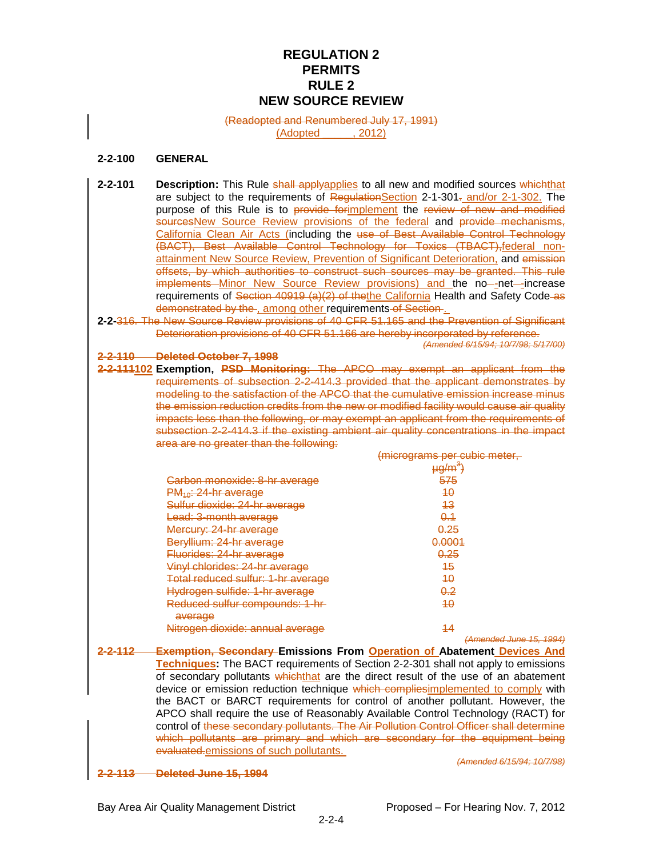# **REGULATION 2 PERMITS RULE 2 NEW SOURCE REVIEW**

(Readopted and Renumbered July 17, 1991)

(Adopted \_\_\_\_\_, 2012)

### **2-2-100 GENERAL**

- **2-2-101 Description:** This Rule shall applyapplies to all new and modified sources whichthat are subject to the requirements of RegulationSection 2-1-301. and/or 2-1-302. The purpose of this Rule is to provide for implement the review of new and modified sourcesNew Source Review provisions of the federal and provide mechanisms, California Clean Air Acts (including the use of Best Available Control Technology (BACT), Best Available Control Technology for Toxics (TBACT),federal nonattainment New Source Review, Prevention of Significant Deterioration, and emission offsets, by which authorities to construct such sources may be granted. This rule implements Minor New Source Review provisions) and the no-net-increase requirements of Section 40919 (a)(2) of the the California Health and Safety Code-as demonstrated by the , among other requirements of Section.
- **2-2-**316. The New Source Review provisions of 40 CFR 51.165 and the Prevention of Significant Deterioration provisions of 40 CFR 51.166 are hereby incorporated by reference.

*(Amended 6/15/94; 10/7/98; 5/17/00)*

**2-2-110 Deleted October 7, 1998**

**2-2-111102 Exemption, PSD Monitoring:** The APCO may exempt an applicant from the requirements of subsection 2-2-414.3 provided that the applicant demonstrates by modeling to the satisfaction of the APCO that the cumulative emission increase minus the emission reduction credits from the new or modified facility would cause air quality impacts less than the following, or may exempt an applicant from the requirements of subsection 2-2-414.3 if the existing ambient air quality concentrations in the impact area are no greater than the following:

|                                    | (micrograms per cubic meter, |
|------------------------------------|------------------------------|
|                                    | <del>µg/m<sup>3</sup>)</del> |
| Carbon monoxide: 8-hr average      | 575                          |
| $PM_{40}$ : 24-hr average          | 40                           |
| Sulfur dioxide: 24-hr average      | 43                           |
| <del>Lead: 3-month average</del>   | <del>0.1</del>               |
| Mercury: 24-hr average             | <del>0.25</del>              |
| Beryllium: 24-hr average           | <del>0.0001</del>            |
| Fluorides: 24-hr average           | <u>0.25</u>                  |
| Vinyl chlorides: 24-hr average     | 45                           |
| Total reduced sulfur: 1-hr average | 40                           |
| Hydrogen sulfide: 1-hr average     | <del>0.2</del>               |
| Reduced sulfur compounds: 1-hr-    | 40                           |
| average                            |                              |
| Nitrogen dioxide: annual average   | 44                           |
|                                    | (Amended June 15, 1994)      |

**2-2-112 Exemption, Secondary Emissions From Operation of Abatement Devices And Techniques:** The BACT requirements of Section 2-2-301 shall not apply to emissions of secondary pollutants whichthat are the direct result of the use of an abatement device or emission reduction technique which compliesimplemented to comply with the BACT or BARCT requirements for control of another pollutant. However, the APCO shall require the use of Reasonably Available Control Technology (RACT) for control of these secondary pollutants. The Air Pollution Control Officer shall determine which pollutants are primary and which are secondary for the equipment being evaluated.emissions of such pollutants.

*(Amended 6/15/94; 10/7/98)*

#### **2-2-113 Deleted June 15, 1994**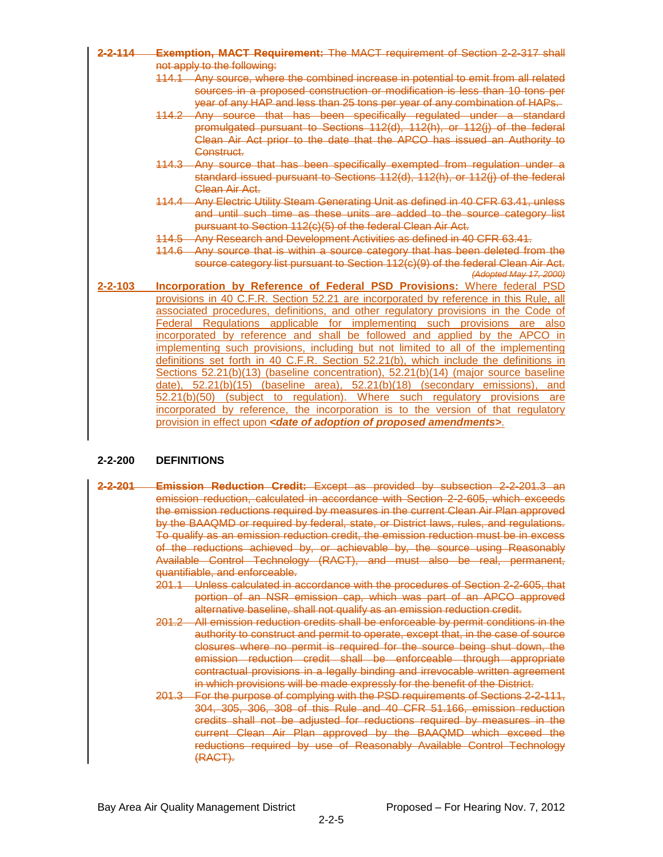| 2-2-114       | Exemption, MACT Requirement: The MACT requirement of Section 2-2-317 shall            |  |  |
|---------------|---------------------------------------------------------------------------------------|--|--|
|               | not apply to the following:                                                           |  |  |
|               | 114.1 Any source, where the combined increase in potential to emit from all related   |  |  |
|               | sources in a proposed construction or modification is less than 10 tons per           |  |  |
|               | year of any HAP and less than 25 tons per year of any combination of HAPs.            |  |  |
|               | 114.2 Any source that has been specifically regulated under a standard                |  |  |
|               | promulgated pursuant to Sections 112(d), 112(h), or 112(j) of the federal             |  |  |
|               | Clean Air Act prior to the date that the APCO has issued an Authority to              |  |  |
|               | Construct.                                                                            |  |  |
|               | 114.3 Any source that has been specifically exempted from regulation under a          |  |  |
|               | standard issued pursuant to Sections 112(d), 112(h), or 112(j) of the federal         |  |  |
|               | Clean Air Act.                                                                        |  |  |
|               | 114.4 Any Electric Utility Steam Generating Unit as defined in 40 CFR 63.41, unless   |  |  |
|               | and until such time as these units are added to the source category list              |  |  |
|               | pursuant to Section 112(c)(5) of the federal Clean Air Act.                           |  |  |
|               | 114.5 Any Research and Development Activities as defined in 40 CFR 63.41.             |  |  |
|               | 114.6 Any source that is within a source category that has been deleted from the      |  |  |
|               | source category list pursuant to Section 112(c)(9) of the federal Clean Air Act.      |  |  |
|               | (Adopted May 17, 2000)                                                                |  |  |
| $2 - 2 - 103$ | Incorporation by Reference of Federal PSD Provisions: Where federal PSD               |  |  |
|               | provisions in 40 C.F.R. Section 52.21 are incorporated by reference in this Rule, all |  |  |
|               | associated procedures, definitions, and other regulatory provisions in the Code of    |  |  |
|               | Federal Regulations applicable for implementing such provisions are also              |  |  |
|               | incorporated by reference and shall be followed and applied by the APCO in            |  |  |
|               | implementing such provisions, including but not limited to all of the implementing    |  |  |
|               | definitions set forth in 40 C.F.R. Section 52.21(b), which include the definitions in |  |  |
|               | Sections 52.21(b)(13) (baseline concentration), 52.21(b)(14) (major source baseline   |  |  |
|               | date), 52.21(b)(15) (baseline area), 52.21(b)(18) (secondary emissions), and          |  |  |
|               | 52.21(b)(50) (subject to regulation). Where such regulatory provisions are            |  |  |
|               | incorporated by reference, the incorporation is to the version of that regulatory     |  |  |
|               | provision in effect upon <date adoption="" amendments="" of="" proposed="">.</date>   |  |  |

#### **2-2-200 DEFINITIONS**

- **2-2-201 Emission Reduction Credit:** Except as provided by subsection 2-2-201.3 an emission reduction, calculated in accordance with Section 2-2-605, which exceeds the emission reductions required by measures in the current Clean Air Plan approved by the BAAQMD or required by federal, state, or District laws, rules, and regulations. To qualify as an emission reduction credit, the emission reduction must be in excess of the reductions achieved by, or achievable by, the source using Reasonably Available Control Technology (RACT), and must also be real, permanent, quantifiable, and enforceable.
	- 201.1 Unless calculated in accordance with the procedures of Section 2-2-605, that portion of an NSR emission cap, which was part of an APCO approved alternative baseline, shall not qualify as an emission reduction credit.
	- 201.2 All emission reduction credits shall be enforceable by permit conditions in the authority to construct and permit to operate, except that, in the case of source closures where no permit is required for the source being shut down, the emission reduction credit shall be enforceable through appropriate contractual provisions in a legally binding and irrevocable written agreement in which provisions will be made expressly for the benefit of the District.
	- 201.3 For the purpose of complying with the PSD requirements of Sections 2-2-111, 304, 305, 306, 308 of this Rule and 40 CFR 51.166, emission reduction credits shall not be adjusted for reductions required by measures in the current Clean Air Plan approved by the BAAQMD which exceed the reductions required by use of Reasonably Available Control Technology (RACT).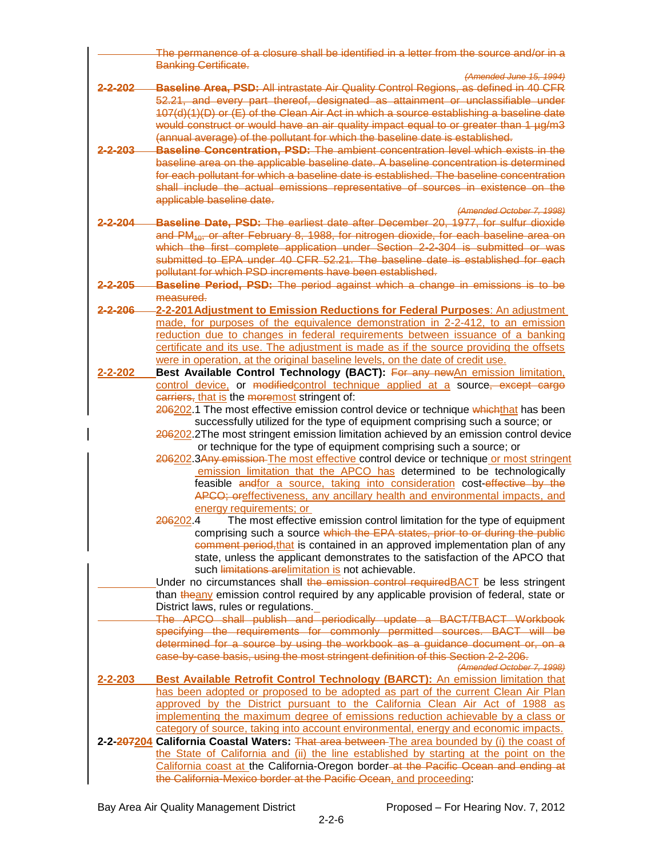|                    | The permanence of a closure shall be identified in a letter from the source and/or in a<br><b>Banking Certificate.</b>                                                   |
|--------------------|--------------------------------------------------------------------------------------------------------------------------------------------------------------------------|
|                    | (Amended June 15, 1994)                                                                                                                                                  |
| <del>2-2-202</del> | <b>Baseline Area, PSD:</b> All intrastate Air Quality Control Regions, as defined in 40 CFR                                                                              |
|                    | 52.21, and every part thereof, designated as attainment or unclassifiable under                                                                                          |
|                    | 107(d)(1)(D) or (E) of the Clean Air Act in which a source establishing a baseline date                                                                                  |
|                    | would construct or would have an air quality impact equal to or greater than 1 µg/m3                                                                                     |
|                    | (annual average) of the pollutant for which the baseline date is established.                                                                                            |
| 2-203              | <b>Baseline Concentration, PSD:</b> The ambient concentration level which exists in the                                                                                  |
|                    | baseline area on the applicable baseline date. A baseline concentration is determined                                                                                    |
|                    | for each pollutant for which a baseline date is established. The baseline concentration                                                                                  |
|                    | shall include the actual emissions representative of sources in existence on the                                                                                         |
|                    | applicable baseline date.                                                                                                                                                |
| 2-2-204            | (Amended October 7, 1998)                                                                                                                                                |
|                    | <b>Baseline Date, PSD:</b> The earliest date after December 20, 1977, for sulfur dioxide                                                                                 |
|                    | and PM <sub>10</sub> , or after February 8, 1988, for nitrogen dioxide, for each baseline area on                                                                        |
|                    | which the first complete application under Section 2-2-304 is submitted or was                                                                                           |
|                    | submitted to EPA under 40 CFR 52.21. The baseline date is established for each<br>pollutant for which PSD increments have been established.                              |
|                    | Baseline Period, PSD: The period against which a change in emissions is to be                                                                                            |
| <u>2-2-205</u>     | measured                                                                                                                                                                 |
|                    |                                                                                                                                                                          |
| 2-2-206            | 2-2-201 Adjustment to Emission Reductions for Federal Purposes: An adjustment<br>made, for purposes of the equivalence demonstration in 2-2-412, to an emission          |
|                    |                                                                                                                                                                          |
|                    | reduction due to changes in federal requirements between issuance of a banking<br>certificate and its use. The adjustment is made as if the source providing the offsets |
|                    | were in operation, at the original baseline levels, on the date of credit use.                                                                                           |
| $2 - 2 - 202$      | Best Available Control Technology (BACT): For any newAn emission limitation,                                                                                             |
|                    | control device, or modified control technique applied at a source, except cargo                                                                                          |
|                    | carriers, that is the moremost stringent of:                                                                                                                             |
|                    | 206202.1 The most effective emission control device or technique whichthat has been                                                                                      |
|                    | successfully utilized for the type of equipment comprising such a source; or                                                                                             |
|                    | 206202.2The most stringent emission limitation achieved by an emission control device                                                                                    |
|                    | or technique for the type of equipment comprising such a source; or                                                                                                      |
|                    | 206202.3Any emission-The most effective control device or technique or most stringent                                                                                    |
|                    | emission limitation that the APCO has determined to be technologically                                                                                                   |
|                    | feasible andfor a source, taking into consideration cost-effective by the                                                                                                |
|                    | APCO; oreffectiveness, any ancillary health and environmental impacts, and                                                                                               |
|                    | energy requirements; or                                                                                                                                                  |
|                    | The most effective emission control limitation for the type of equipment<br>206202.4                                                                                     |
|                    | comprising such a source which the EPA states, prior to or during the public                                                                                             |
|                    | comment period, that is contained in an approved implementation plan of any                                                                                              |
|                    | state, unless the applicant demonstrates to the satisfaction of the APCO that                                                                                            |
|                    | such limitations arelimitation is not achievable.                                                                                                                        |
|                    | Under no circumstances shall the emission control required BACT be less stringent                                                                                        |
|                    | than theany emission control required by any applicable provision of federal, state or                                                                                   |
|                    | District laws, rules or regulations.                                                                                                                                     |
|                    | The APCO shall publish and periodically update a BACT/TBACT Workbook                                                                                                     |
|                    | specifying the requirements for commonly permitted sources. BACT will be                                                                                                 |
|                    | determined for a source by using the workbook as a quidance document or, on a                                                                                            |
|                    | ease-by-case basis, using the most stringent definition of this Section 2-2-206.                                                                                         |
|                    | (Amended October 7, 1998)                                                                                                                                                |
| $2 - 2 - 203$      | <b>Best Available Retrofit Control Technology (BARCT):</b> An emission limitation that                                                                                   |
|                    | has been adopted or proposed to be adopted as part of the current Clean Air Plan                                                                                         |
|                    | approved by the District pursuant to the California Clean Air Act of 1988 as                                                                                             |
|                    | implementing the maximum degree of emissions reduction achievable by a class or                                                                                          |
|                    | category of source, taking into account environmental, energy and economic impacts.                                                                                      |
|                    | 2-2-207204 California Coastal Waters: That area between The area bounded by (i) the coast of                                                                             |
|                    | the State of California and (ii) the line established by starting at the point on the                                                                                    |
|                    | California coast at the California-Oregon border-at the Pacific Ocean and ending at                                                                                      |
|                    | the California-Mexico border at the Pacific Ocean, and proceeding:                                                                                                       |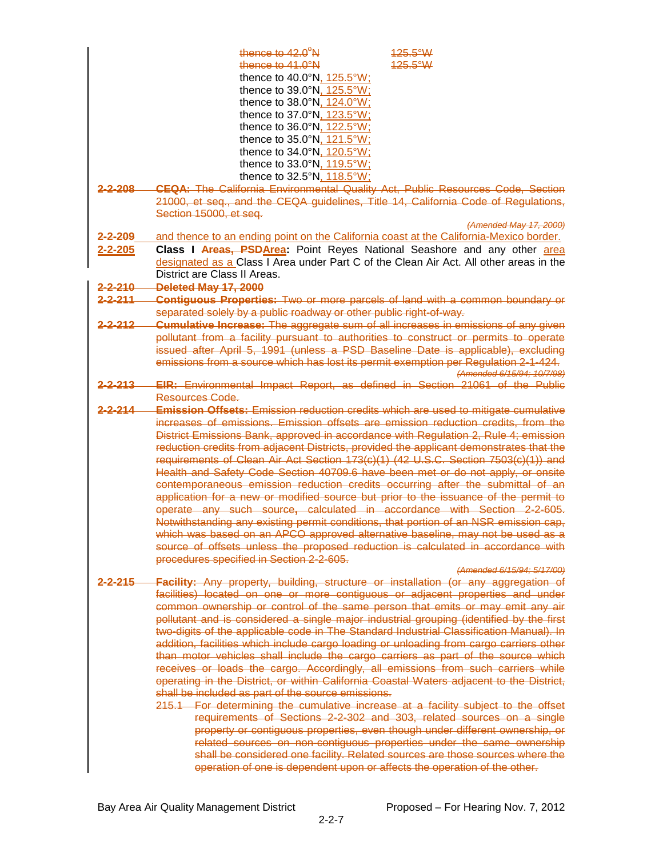|                    | thence to $42.0^\circ$ N<br>$125.5^{\circ}$ W                                                                                                                                  |
|--------------------|--------------------------------------------------------------------------------------------------------------------------------------------------------------------------------|
|                    | thence to $41.0^\circ$ N<br>$125.5^{\circ}$ W                                                                                                                                  |
|                    | thence to 40.0°N, 125.5°W;                                                                                                                                                     |
|                    | thence to 39.0°N, 125.5°W;                                                                                                                                                     |
|                    | thence to 38.0°N, 124.0°W;                                                                                                                                                     |
|                    | thence to 37.0°N, 123.5°W;                                                                                                                                                     |
|                    | thence to 36.0°N, 122.5°W;                                                                                                                                                     |
|                    | thence to 35.0°N, 121.5°W;                                                                                                                                                     |
|                    | thence to 34.0°N, 120.5°W;                                                                                                                                                     |
|                    | thence to 33.0°N, 119.5°W;                                                                                                                                                     |
|                    | thence to 32.5°N, 118.5°W;                                                                                                                                                     |
| 2-2-208            | <b>CEQA:</b> The California Environmental Quality Act, Public Resources Code, Section                                                                                          |
|                    | 21000, et seq., and the CEQA quidelines, Title 14, California Code of Regulations,                                                                                             |
|                    | Section 15000, et seq.                                                                                                                                                         |
|                    | (Amended May 17, 2000)                                                                                                                                                         |
| 2-2-209            | and thence to an ending point on the California coast at the California-Mexico border.                                                                                         |
| 2-2-205            | Class I Areas, PSDArea: Point Reyes National Seashore and any other area                                                                                                       |
|                    | designated as a Class I Area under Part C of the Clean Air Act. All other areas in the                                                                                         |
|                    | District are Class II Areas.                                                                                                                                                   |
| $2 - 2 - 210$      | Deleted May 17, 2000                                                                                                                                                           |
| 2-2-211            | <b>Contiguous Properties: Two or more parcels of land with a common boundary or</b><br>separated solely by a public roadway or other public right-of-way.                      |
| $2 - 2 - 212$      | <b>Cumulative Increase:</b> The aggregate sum of all increases in emissions of any given                                                                                       |
|                    | pollutant from a facility pursuant to authorities to construct or permits to operate                                                                                           |
|                    | issued after April 5, 1991 (unless a PSD Baseline Date is applicable), excluding                                                                                               |
|                    | emissions from a source which has lost its permit exemption per Regulation 2-1-424.                                                                                            |
|                    | (Amended 6/15/94; 10/7/98)                                                                                                                                                     |
| <del>2-2-213</del> | <b>EIR:</b> Environmental Impact Report, as defined in Section 21061 of the Public<br>Resources Code.                                                                          |
|                    |                                                                                                                                                                                |
| <u>2-2-214 </u>    | <b>Emission Offsets:</b> Emission reduction credits which are used to mitigate cumulative<br>increases of emissions. Emission offsets are emission reduction credits, from the |
|                    | District Emissions Bank, approved in accordance with Regulation 2, Rule 4; emission                                                                                            |
|                    | reduction credits from adjacent Districts, provided the applicant demonstrates that the                                                                                        |
|                    | requirements of Clean Air Act Section 173(c)(1) (42 U.S.C. Section 7503(c)(1)) and                                                                                             |
|                    | Health and Safety Code Section 40709.6 have been met or do not apply, or onsite                                                                                                |
|                    | contemporaneous emission reduction credits occurring after the submittal of an                                                                                                 |
|                    | application for a new or modified source but prior to the issuance of the permit to                                                                                            |
|                    | operate any such source, calculated in accordance with Section 2-2-605.                                                                                                        |
|                    | Notwithstanding any existing permit conditions, that portion of an NSR emission cap.                                                                                           |
|                    | which was based on an APCO approved alternative baseline, may not be used as a                                                                                                 |
|                    | source of offsets unless the proposed reduction is calculated in accordance with                                                                                               |
|                    | procedures specified in Section 2-2-605.                                                                                                                                       |
|                    | (Amended 6/15/94; 5/17/00)                                                                                                                                                     |
| <u>2-2-215</u>     | Facility: Any property, building, structure or installation (or any aggregation of                                                                                             |
|                    | facilities) located on one or more contiguous or adjacent properties and under                                                                                                 |
|                    | common ownership or control of the same person that emits or may emit any air                                                                                                  |
|                    | pollutant and is considered a single major industrial grouping (identified by the first                                                                                        |
|                    | two-digits of the applicable code in The Standard Industrial Classification Manual). In                                                                                        |
|                    | addition, facilities which include cargo loading or unloading from cargo carriers other                                                                                        |
|                    | than motor vehicles shall include the cargo carriers as part of the source which                                                                                               |
|                    | receives or loads the cargo. Accordingly, all emissions from such carriers while                                                                                               |
|                    | operating in the District, or within California Coastal Waters adjacent to the District,                                                                                       |
|                    | shall be included as part of the source emissions.                                                                                                                             |
|                    | 215.1 For determining the cumulative increase at a facility subject to the offset                                                                                              |
|                    | requirements of Sections 2-2-302 and 303, related sources on a single                                                                                                          |
|                    | property or contiguous properties, even though under different ownership, or<br>related sources on non-contiguous properties under the same ownership                          |
|                    | shall be considered one facility. Related sources are those sources where the                                                                                                  |
|                    | operation of one is dependent upon or affects the operation of the other.                                                                                                      |
|                    |                                                                                                                                                                                |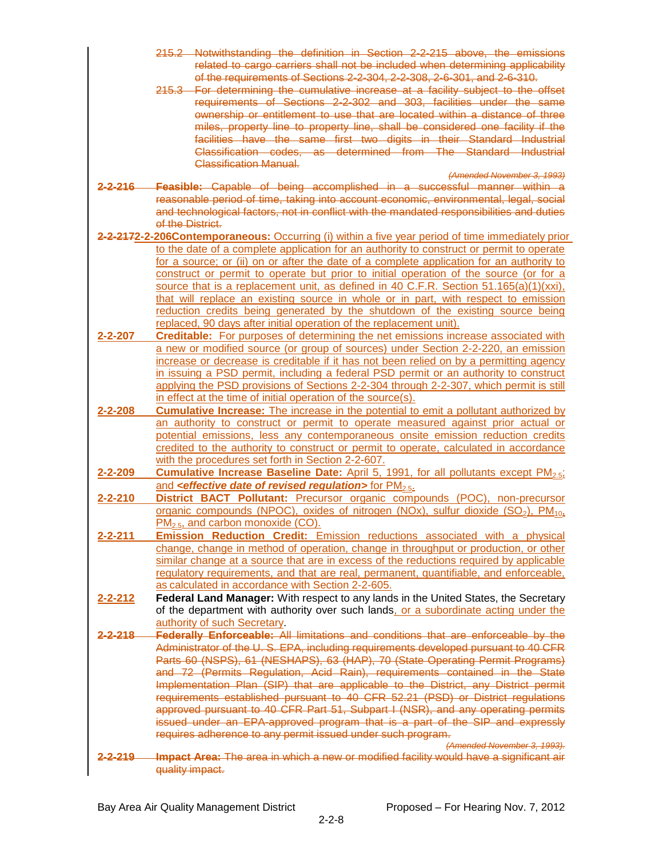|               | 215.2 Notwithstanding the definition in Section 2-2-215 above, the emissions<br>related to cargo carriers shall not be included when determining applicability                                                                                                       |  |
|---------------|----------------------------------------------------------------------------------------------------------------------------------------------------------------------------------------------------------------------------------------------------------------------|--|
|               | of the requirements of Sections 2-2-304, 2-2-308, 2-6-301, and 2-6-310.<br>215.3 For determining the cumulative increase at a facility subject to the offset                                                                                                         |  |
|               | requirements of Sections 2-2-302 and 303, facilities under the same<br>ownership or entitlement to use that are located within a distance of three                                                                                                                   |  |
|               | miles, property line to property line, shall be considered one facility if the                                                                                                                                                                                       |  |
|               | facilities have the same first two digits in their Standard Industrial                                                                                                                                                                                               |  |
|               | Classification codes, as determined from The Standard Industrial                                                                                                                                                                                                     |  |
|               | <b>Classification Manual.</b>                                                                                                                                                                                                                                        |  |
|               | (Amended November 3, 1993)                                                                                                                                                                                                                                           |  |
|               | 2-2-216 Feasible: Capable of being accomplished in a successful manner within a<br>reasonable period of time, taking into account economic, environmental, legal, social<br>and technological factors, not in conflict with the mandated responsibilities and duties |  |
|               |                                                                                                                                                                                                                                                                      |  |
|               | of the District.                                                                                                                                                                                                                                                     |  |
|               | 2-2-2172-2-206Contemporaneous: Occurring (i) within a five year period of time immediately prior                                                                                                                                                                     |  |
|               | to the date of a complete application for an authority to construct or permit to operate                                                                                                                                                                             |  |
|               | for a source; or (ii) on or after the date of a complete application for an authority to                                                                                                                                                                             |  |
|               | construct or permit to operate but prior to initial operation of the source (or for a                                                                                                                                                                                |  |
|               | source that is a replacement unit, as defined in 40 C.F.R. Section 51.165(a)(1)(xxi),                                                                                                                                                                                |  |
|               | that will replace an existing source in whole or in part, with respect to emission                                                                                                                                                                                   |  |
|               | reduction credits being generated by the shutdown of the existing source being                                                                                                                                                                                       |  |
| $2 - 2 - 207$ | replaced, 90 days after initial operation of the replacement unit).<br><b>Creditable:</b> For purposes of determining the net emissions increase associated with                                                                                                     |  |
|               | a new or modified source (or group of sources) under Section 2-2-220, an emission                                                                                                                                                                                    |  |
|               | increase or decrease is creditable if it has not been relied on by a permitting agency                                                                                                                                                                               |  |
|               | in issuing a PSD permit, including a federal PSD permit or an authority to construct                                                                                                                                                                                 |  |
|               | applying the PSD provisions of Sections 2-2-304 through 2-2-307, which permit is still                                                                                                                                                                               |  |
|               | in effect at the time of initial operation of the source(s).                                                                                                                                                                                                         |  |
| $2 - 2 - 208$ | <b>Cumulative Increase:</b> The increase in the potential to emit a pollutant authorized by                                                                                                                                                                          |  |
|               | an authority to construct or permit to operate measured against prior actual or                                                                                                                                                                                      |  |
|               | potential emissions, less any contemporaneous onsite emission reduction credits                                                                                                                                                                                      |  |
|               | credited to the authority to construct or permit to operate, calculated in accordance<br>with the procedures set forth in Section 2-2-607.                                                                                                                           |  |
| $2 - 2 - 209$ | <b>Cumulative Increase Baseline Date:</b> April 5, 1991, for all pollutants except PM <sub>2.5</sub> ;                                                                                                                                                               |  |
|               | and <b><i><u>effective date of revised regulation</u></i></b> for PM <sub>2.5</sub> .                                                                                                                                                                                |  |
| $2 - 2 - 210$ | District BACT Pollutant: Precursor organic compounds (POC), non-precursor                                                                                                                                                                                            |  |
|               | organic compounds (NPOC), oxides of nitrogen (NOx), sulfur dioxide $(SO2)$ , PM <sub>10</sub> ,                                                                                                                                                                      |  |
|               | $PM_{2.5}$ , and carbon monoxide (CO).                                                                                                                                                                                                                               |  |
| $2 - 2 - 211$ | Emission Reduction Credit: Emission reductions associated with a physical                                                                                                                                                                                            |  |
|               | change, change in method of operation, change in throughput or production, or other                                                                                                                                                                                  |  |
|               | similar change at a source that are in excess of the reductions required by applicable<br>regulatory requirements, and that are real, permanent, quantifiable, and enforceable,                                                                                      |  |
|               | as calculated in accordance with Section 2-2-605.                                                                                                                                                                                                                    |  |
| $2 - 2 - 212$ | Federal Land Manager: With respect to any lands in the United States, the Secretary                                                                                                                                                                                  |  |
|               | of the department with authority over such lands, or a subordinate acting under the                                                                                                                                                                                  |  |
|               | authority of such Secretary.                                                                                                                                                                                                                                         |  |
| 2-2-218-      | Federally Enforceable: All limitations and conditions that are enforceable by the                                                                                                                                                                                    |  |
|               | Administrator of the U.S. EPA, including requirements developed pursuant to 40 CFR                                                                                                                                                                                   |  |
|               | Parts 60 (NSPS), 61 (NESHAPS), 63 (HAP), 70 (State Operating Permit Programs)                                                                                                                                                                                        |  |
|               | and 72 (Permits Regulation, Acid Rain), requirements contained in the State                                                                                                                                                                                          |  |
|               | Implementation Plan (SIP) that are applicable to the District, any District permit<br>requirements established pursuant to 40 CFR 52.21 (PSD) or District regulations                                                                                                |  |
|               | approved pursuant to 40 CFR Part 51, Subpart I (NSR), and any operating permits                                                                                                                                                                                      |  |
|               | issued under an EPA-approved program that is a part of the SIP and expressly                                                                                                                                                                                         |  |
|               | requires adherence to any permit issued under such program.                                                                                                                                                                                                          |  |
|               | (Amended November 3, 1993).                                                                                                                                                                                                                                          |  |
| $2 - 2 - 219$ | Impact Area: The area in which a new or modified facility would have a significant air<br>quality impact.                                                                                                                                                            |  |
|               |                                                                                                                                                                                                                                                                      |  |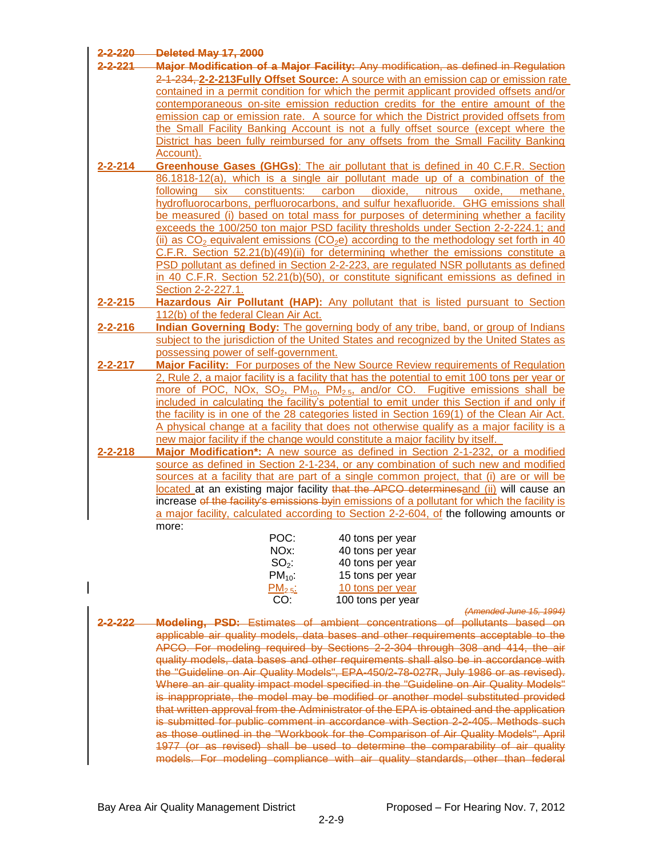| 2-2-220        | <b>Deleted May 17, 2000</b>                                                                                       |  |  |
|----------------|-------------------------------------------------------------------------------------------------------------------|--|--|
| $-2 - 221$     | Major Modification of a Major Facility: Any modification, as defined in Regulation                                |  |  |
|                | 2-1-234, 2-2-213 Fully Offset Source: A source with an emission cap or emission rate                              |  |  |
|                | contained in a permit condition for which the permit applicant provided offsets and/or                            |  |  |
|                | contemporaneous on-site emission reduction credits for the entire amount of the                                   |  |  |
|                | emission cap or emission rate. A source for which the District provided offsets from                              |  |  |
|                | the Small Facility Banking Account is not a fully offset source (except where the                                 |  |  |
|                | District has been fully reimbursed for any offsets from the Small Facility Banking                                |  |  |
|                | Account).                                                                                                         |  |  |
| $2 - 2 - 214$  | Greenhouse Gases (GHGs): The air pollutant that is defined in 40 C.F.R. Section                                   |  |  |
|                | 86.1818-12(a), which is a single air pollutant made up of a combination of the                                    |  |  |
|                | constituents:<br>carbon<br>dioxide,<br>nitrous<br>following<br>six<br>oxide,<br>methane,                          |  |  |
|                | hydrofluorocarbons, perfluorocarbons, and sulfur hexafluoride. GHG emissions shall                                |  |  |
|                | be measured (i) based on total mass for purposes of determining whether a facility                                |  |  |
|                | exceeds the 100/250 ton major PSD facility thresholds under Section 2-2-224.1; and                                |  |  |
|                | (ii) as $CO2$ equivalent emissions ( $CO2e$ ) according to the methodology set forth in 40                        |  |  |
|                | C.F.R. Section $52.21(b)(49)(ii)$ for determining whether the emissions constitute a                              |  |  |
|                | PSD pollutant as defined in Section 2-2-223, are regulated NSR pollutants as defined                              |  |  |
|                | in 40 C.F.R. Section 52.21(b)(50), or constitute significant emissions as defined in                              |  |  |
|                | Section 2-2-227.1.                                                                                                |  |  |
| $2 - 2 - 215$  | Hazardous Air Pollutant (HAP): Any pollutant that is listed pursuant to Section                                   |  |  |
|                | 112(b) of the federal Clean Air Act.                                                                              |  |  |
| $2 - 2 - 216$  | <b>Indian Governing Body:</b> The governing body of any tribe, band, or group of Indians                          |  |  |
|                | subject to the jurisdiction of the United States and recognized by the United States as                           |  |  |
|                | possessing power of self-government.                                                                              |  |  |
| $2 - 2 - 217$  | Major Facility: For purposes of the New Source Review requirements of Regulation                                  |  |  |
|                | 2, Rule 2, a major facility is a facility that has the potential to emit 100 tons per year or                     |  |  |
|                | more of POC, NOx, SO <sub>2</sub> , PM <sub>10</sub> , PM <sub>2.5</sub> , and/or CO. Fugitive emissions shall be |  |  |
|                | included in calculating the facility's potential to emit under this Section if and only if                        |  |  |
|                | the facility is in one of the 28 categories listed in Section 169(1) of the Clean Air Act.                        |  |  |
|                | A physical change at a facility that does not otherwise qualify as a major facility is a                          |  |  |
|                | new major facility if the change would constitute a major facility by itself.                                     |  |  |
| $2 - 2 - 218$  | Major Modification*: A new source as defined in Section 2-1-232, or a modified                                    |  |  |
|                | source as defined in Section 2-1-234, or any combination of such new and modified                                 |  |  |
|                | sources at a facility that are part of a single common project, that (i) are or will be                           |  |  |
|                | located at an existing major facility that the APCO determines and (ii) will cause an                             |  |  |
|                | increase of the facility's emissions byin emissions of a pollutant for which the facility is                      |  |  |
|                | a major facility, calculated according to Section 2-2-604, of the following amounts or                            |  |  |
|                | more:                                                                                                             |  |  |
|                | POC:<br>40 tons per year                                                                                          |  |  |
|                | NOx:<br>40 tons per year                                                                                          |  |  |
|                | $SO2$ :<br>40 tons per year                                                                                       |  |  |
|                | $PM_{10}$ :<br>15 tons per year                                                                                   |  |  |
|                | PM <sub>2.5</sub><br>10 tons per year                                                                             |  |  |
|                | CO:<br>100 tons per year                                                                                          |  |  |
|                | (Amended June 15, 1994)                                                                                           |  |  |
| <u>2-2-222</u> | Modeling, PSD: Estimates of ambient concentrations of pollutants based on                                         |  |  |
|                | applicable air quality models, data bases and other requirements acceptable to the                                |  |  |
|                | APCO. For modeling required by Sections 2-2-304 through 308 and 414, the air                                      |  |  |
|                | quality models, data bases and other requirements shall also be in accordance with                                |  |  |
|                | the "Guideline on Air Quality Models", EPA-450/2-78-027R, July 1986 or as revised).                               |  |  |
|                | Where an air quality impact model specified in the "Guideline on Air Quality Models"                              |  |  |
|                | is inappropriate, the model may be modified or another model substituted provided                                 |  |  |
|                | that written approval from the Administrator of the EPA is obtained and the application                           |  |  |
|                | is submitted for public comment in accordance with Section 2-2-405. Methods such                                  |  |  |
|                | as those outlined in the "Workbook for the Comparison of Air Quality Models", April                               |  |  |
|                | 1977 (or as revised) shall be used to determine the comparability of air quality                                  |  |  |

models. For modeling compliance with air quality standards, other than federal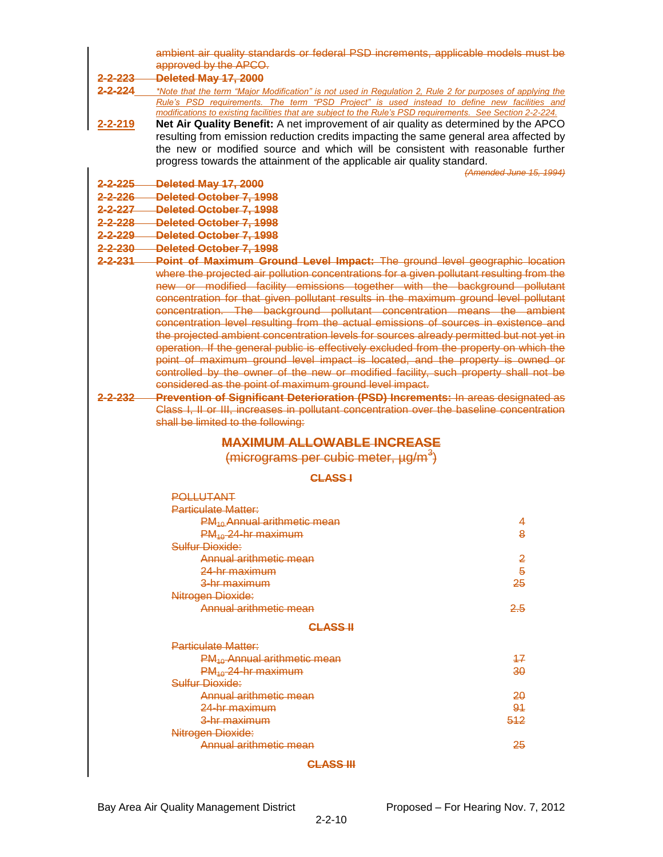|                 | ambient air quality standards or federal PSD increments, applicable models must be                                                                                       |                         |  |
|-----------------|--------------------------------------------------------------------------------------------------------------------------------------------------------------------------|-------------------------|--|
|                 | approved by the APCO.                                                                                                                                                    |                         |  |
| <u>2-2-223 </u> | Deleted May 17, 2000                                                                                                                                                     |                         |  |
| 2-2-224         | *Note that the term "Major Modification" is not used in Regulation 2, Rule 2 for purposes of applying the                                                                |                         |  |
|                 | Rule's PSD requirements. The term "PSD Project" is used instead to define new facilities and                                                                             |                         |  |
|                 | modifications to existing facilities that are subject to the Rule's PSD requirements. See Section 2-2-224.                                                               |                         |  |
| $2 - 2 - 219$   | Net Air Quality Benefit: A net improvement of air quality as determined by the APCO                                                                                      |                         |  |
|                 | resulting from emission reduction credits impacting the same general area affected by<br>the new or modified source and which will be consistent with reasonable further |                         |  |
|                 | progress towards the attainment of the applicable air quality standard.                                                                                                  |                         |  |
|                 |                                                                                                                                                                          | (Amended June 15, 1994) |  |
| 2-2-225         | Deleted May 17, 2000                                                                                                                                                     |                         |  |
| 2-2-226         | Deleted October 7, 1998                                                                                                                                                  |                         |  |
| <u>2-2-227 </u> | Deleted October 7, 1998                                                                                                                                                  |                         |  |
| $2 - 2 - 228$   | Deleted October 7, 1998                                                                                                                                                  |                         |  |
| 2-2-229         | Deleted October 7, 1998                                                                                                                                                  |                         |  |
| $2 - 2 - 230$   | Deleted October 7, 1998                                                                                                                                                  |                         |  |
| $2 - 2 - 231$   | Point of Maximum Ground Level Impact: The ground level geographic location                                                                                               |                         |  |
|                 | where the projected air pollution concentrations for a given pollutant resulting from the                                                                                |                         |  |
|                 | new or modified facility emissions together with the background pollutant                                                                                                |                         |  |
|                 | concentration for that given pollutant results in the maximum ground level pollutant                                                                                     |                         |  |
|                 | concentration. The background pollutant concentration means the ambient                                                                                                  |                         |  |
|                 | concentration level resulting from the actual emissions of sources in existence and                                                                                      |                         |  |
|                 | the projected ambient concentration levels for sources already permitted but not yet in                                                                                  |                         |  |
|                 | operation. If the general public is effectively excluded from the property on which the                                                                                  |                         |  |
|                 | point of maximum ground level impact is located, and the property is owned or                                                                                            |                         |  |
|                 | controlled by the owner of the new or modified facility, such property shall not be                                                                                      |                         |  |
|                 | considered as the point of maximum ground level impact.                                                                                                                  |                         |  |
| 2-2-232         | <b>Prevention of Significant Deterioration (PSD) Increments: In areas designated as</b>                                                                                  |                         |  |
|                 | Class I, II or III, increases in pollutant concentration over the baseline concentration                                                                                 |                         |  |
|                 | shall be limited to the following:                                                                                                                                       |                         |  |
|                 | <b>MAXIMUM ALLOWABLE INCREASE</b>                                                                                                                                        |                         |  |
|                 | $(micrograms per cubic meter, \mu g/m^3)$                                                                                                                                |                         |  |
|                 |                                                                                                                                                                          |                         |  |
|                 | <b>CLASS-I</b>                                                                                                                                                           |                         |  |
|                 | <b>POLLUTANT</b>                                                                                                                                                         |                         |  |
|                 | <b>Particulate Matter:</b>                                                                                                                                               |                         |  |
|                 | PM <sub>10</sub> Annual arithmetic mean                                                                                                                                  | 4                       |  |
|                 | PM <sub>40</sub> -24-hr maximum                                                                                                                                          | 8                       |  |
|                 | Sulfur Dioxide:                                                                                                                                                          |                         |  |
|                 | Annual arithmetic mean                                                                                                                                                   | $\overline{2}$          |  |
|                 | 24-hr maximum                                                                                                                                                            | $\overline{5}$          |  |
|                 | 3-hr maximum                                                                                                                                                             | 25                      |  |
|                 | Nitrogen Dioxide:                                                                                                                                                        |                         |  |
|                 | Annual arithmetic mean                                                                                                                                                   | 2.5                     |  |
|                 | <b>CLASS H</b>                                                                                                                                                           |                         |  |
|                 | <b>Particulate Matter:</b>                                                                                                                                               |                         |  |
|                 | PM <sub>40</sub> Annual arithmetic mean                                                                                                                                  | 47                      |  |
|                 | $PM_{40}$ 24-hr maximum                                                                                                                                                  | 30                      |  |
|                 | Sulfur Dioxide:                                                                                                                                                          |                         |  |
|                 | Annual arithmetic mean                                                                                                                                                   | 20                      |  |
|                 | <del>24-hr maximum</del>                                                                                                                                                 | 94                      |  |
|                 | <del>3-hr maximum</del>                                                                                                                                                  | 512                     |  |
|                 | Nitrogen Dioxide:                                                                                                                                                        |                         |  |
|                 | Annual arithmetic mean<br>25                                                                                                                                             |                         |  |
|                 | <b>CLASS III</b>                                                                                                                                                         |                         |  |
|                 |                                                                                                                                                                          |                         |  |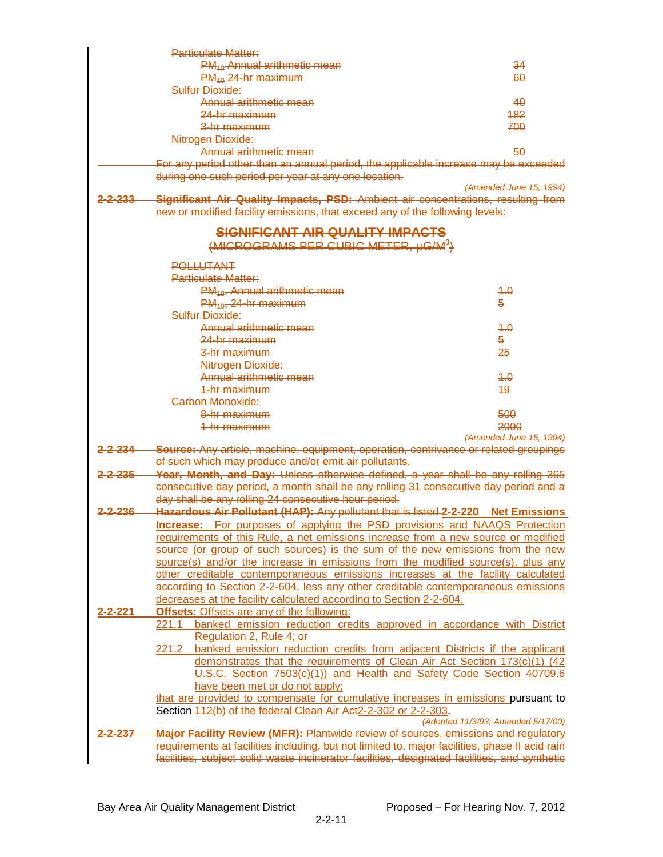|                      | Particulate Matter:                                                                                                                                                                            |                                    |
|----------------------|------------------------------------------------------------------------------------------------------------------------------------------------------------------------------------------------|------------------------------------|
|                      | $PM_{40}$ Annual arithmetic mean                                                                                                                                                               | 34                                 |
|                      | $PM_{40}$ 24-hr maximum                                                                                                                                                                        | 60                                 |
|                      | Sulfur Dioxide:                                                                                                                                                                                |                                    |
|                      | <u>Annual arithmetic mean</u>                                                                                                                                                                  | 40                                 |
|                      | <del>24-hr maximum</del>                                                                                                                                                                       | 482                                |
|                      | <del>3-hr maximum</del>                                                                                                                                                                        | 700                                |
|                      | Nitrogen Dioxide:                                                                                                                                                                              |                                    |
|                      | Annual arithmetic mean                                                                                                                                                                         | 50                                 |
|                      | For any period other than an annual period, the applicable increase may be exceeded                                                                                                            |                                    |
|                      | during one such period per year at any one location.                                                                                                                                           |                                    |
|                      |                                                                                                                                                                                                | (Amended June 15, 1994)            |
| <u>2-2-233 </u>      | Significant Air Quality Impacts, PSD: Ambient air concentrations, resulting from                                                                                                               |                                    |
|                      | new or modified facility emissions, that exceed any of the following levels:                                                                                                                   |                                    |
|                      |                                                                                                                                                                                                |                                    |
|                      | <b>SIGNIFICANT AIR QUALITY IMPACTS</b>                                                                                                                                                         |                                    |
|                      | (MICROGRAMS PER CUBIC METER, µG/M <sup>3</sup> )                                                                                                                                               |                                    |
|                      | <b>POLLUTANT</b>                                                                                                                                                                               |                                    |
|                      | <b>Particulate Matter:</b>                                                                                                                                                                     |                                    |
|                      | $PM_{10}$ , Annual arithmetic mean                                                                                                                                                             | 4.0                                |
|                      | $PM_{40}$ , 24-hr maximum                                                                                                                                                                      | 5                                  |
|                      | Sulfur Dioxide:                                                                                                                                                                                |                                    |
|                      | Annual arithmetic mean                                                                                                                                                                         | 1.0                                |
|                      | 24-br maximum                                                                                                                                                                                  | 5                                  |
|                      | <del>3-hr maximum</del>                                                                                                                                                                        | 25                                 |
|                      | Nitrogen Dioxide:                                                                                                                                                                              |                                    |
|                      | Annual arithmetic mean                                                                                                                                                                         | 4.0                                |
|                      | <del>1-hr maximum</del>                                                                                                                                                                        | 49                                 |
|                      | Carbon Monoxide:                                                                                                                                                                               |                                    |
|                      | <del>8-hr maximum</del>                                                                                                                                                                        | 500                                |
|                      | 1-hr maximum                                                                                                                                                                                   | 2000                               |
|                      |                                                                                                                                                                                                | (Amended June 15, 1994)            |
| <del>2-2-23</del> 4— | <b>Source:</b> Any article, machine, equipment, operation, contrivance or related groupings                                                                                                    |                                    |
|                      |                                                                                                                                                                                                |                                    |
|                      | of such which may produce and/or emit air pollutants.                                                                                                                                          |                                    |
| <u>2-2-235—</u>      |                                                                                                                                                                                                |                                    |
|                      | Year, Month, and Day: Unless otherwise defined, a year shall be any rolling 365                                                                                                                |                                    |
|                      | consecutive day period, a month shall be any rolling 31 consecutive day period and a<br>day shall be any rolling 24 consecutive hour period.                                                   |                                    |
| <u>2-2-236-</u>      | <b>Hazardous Air Pollutant (HAP):</b> Any pollutant that is listed 2-2-220 Net Emissions                                                                                                       |                                    |
|                      |                                                                                                                                                                                                |                                    |
|                      | <b>Increase:</b> For purposes of applying the PSD provisions and NAAQS Protection<br>requirements of this Rule, a net emissions increase from a new source or modified                         |                                    |
|                      | source (or group of such sources) is the sum of the new emissions from the new                                                                                                                 |                                    |
|                      | source(s) and/or the increase in emissions from the modified source(s), plus any                                                                                                               |                                    |
|                      | other creditable contemporaneous emissions increases at the facility calculated                                                                                                                |                                    |
|                      | according to Section 2-2-604, less any other creditable contemporaneous emissions                                                                                                              |                                    |
|                      | decreases at the facility calculated according to Section 2-2-604.                                                                                                                             |                                    |
| $2 - 2 - 221$        | <b>Offsets: Offsets are any of the following:</b>                                                                                                                                              |                                    |
|                      | banked emission reduction credits approved in accordance with District<br>221.1                                                                                                                |                                    |
|                      | Regulation 2, Rule 4; or                                                                                                                                                                       |                                    |
|                      | 221.2 banked emission reduction credits from adjacent Districts if the applicant                                                                                                               |                                    |
|                      | demonstrates that the requirements of Clean Air Act Section 173(c)(1) (42                                                                                                                      |                                    |
|                      | U.S.C. Section 7503(c)(1)) and Health and Safety Code Section 40709.6                                                                                                                          |                                    |
|                      | have been met or do not apply;                                                                                                                                                                 |                                    |
|                      | that are provided to compensate for cumulative increases in emissions pursuant to                                                                                                              |                                    |
|                      | Section 442(b) of the federal Clean Air Act2-2-302 or 2-2-303.                                                                                                                                 |                                    |
|                      |                                                                                                                                                                                                | (Adopted 11/3/93; Amended 5/17/00) |
| 2-237                | Major Facility Review (MFR): Plantwide review of sources, emissions and regulatory                                                                                                             |                                    |
|                      | requirements at facilities including, but not limited to, major facilities, phase II acid rain<br>facilities, subject solid waste incinerator facilities, designated facilities, and synthetic |                                    |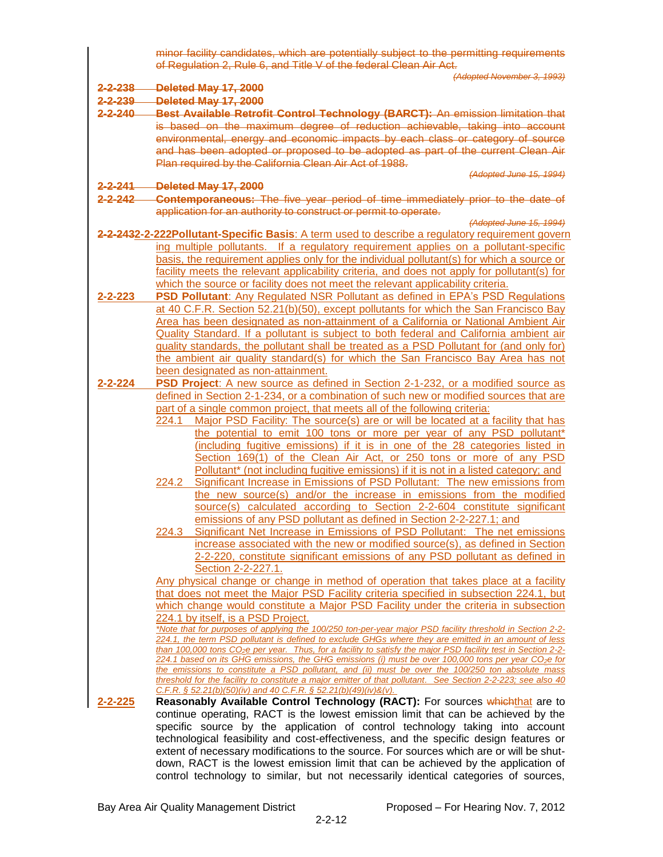|                     | minor facility candidates, which are potentially subject to the permitting requirements<br>of Regulation 2, Rule 6, and Title V of the federal Clean Air Act.                                                        |  |
|---------------------|----------------------------------------------------------------------------------------------------------------------------------------------------------------------------------------------------------------------|--|
|                     | (Adopted November 3, 1993)                                                                                                                                                                                           |  |
| <del>2-2-238-</del> | Deleted May 17, 2000                                                                                                                                                                                                 |  |
| 2-2-239             | Deleted May 17, 2000                                                                                                                                                                                                 |  |
| $2 - 2 - 240$       | Best Available Retrofit Control Technology (BARCT): An emission limitation that                                                                                                                                      |  |
|                     | is based on the maximum degree of reduction achievable, taking into account                                                                                                                                          |  |
|                     | environmental, energy and economic impacts by each class or category of source                                                                                                                                       |  |
|                     | and has been adopted or proposed to be adopted as part of the current Clean Air                                                                                                                                      |  |
|                     | Plan required by the California Clean Air Act of 1988.<br>(Adopted June 15, 1994)                                                                                                                                    |  |
| <u>2-2-241 —</u>    | Deleted May 17, 2000                                                                                                                                                                                                 |  |
| $2 - 2 - 242$       | <b>Contemporaneous:</b> The five year period of time immediately prior to the date of                                                                                                                                |  |
|                     | application for an authority to construct or permit to operate.                                                                                                                                                      |  |
|                     | (Adopted June 15, 1994)                                                                                                                                                                                              |  |
|                     | 2-2-2432-2-222Pollutant-Specific Basis: A term used to describe a regulatory requirement govern                                                                                                                      |  |
|                     | ing multiple pollutants. If a regulatory requirement applies on a pollutant-specific                                                                                                                                 |  |
|                     | basis, the requirement applies only for the individual pollutant(s) for which a source or                                                                                                                            |  |
|                     | facility meets the relevant applicability criteria, and does not apply for pollutant(s) for                                                                                                                          |  |
|                     | which the source or facility does not meet the relevant applicability criteria.                                                                                                                                      |  |
| $2 - 2 - 223$       | PSD Pollutant: Any Regulated NSR Pollutant as defined in EPA's PSD Regulations                                                                                                                                       |  |
|                     | at 40 C.F.R. Section 52.21(b)(50), except pollutants for which the San Francisco Bay                                                                                                                                 |  |
|                     | Area has been designated as non-attainment of a California or National Ambient Air                                                                                                                                   |  |
|                     | Quality Standard. If a pollutant is subject to both federal and California ambient air                                                                                                                               |  |
|                     | quality standards, the pollutant shall be treated as a PSD Pollutant for (and only for)                                                                                                                              |  |
|                     | the ambient air quality standard(s) for which the San Francisco Bay Area has not                                                                                                                                     |  |
|                     | been designated as non-attainment.                                                                                                                                                                                   |  |
| 2-2-224             | PSD Project: A new source as defined in Section 2-1-232, or a modified source as                                                                                                                                     |  |
|                     | defined in Section 2-1-234, or a combination of such new or modified sources that are<br>part of a single common project, that meets all of the following criteria:                                                  |  |
|                     | Major PSD Facility: The source(s) are or will be located at a facility that has<br>224.1                                                                                                                             |  |
|                     | the potential to emit 100 tons or more per year of any PSD pollutant*                                                                                                                                                |  |
|                     | (including fugitive emissions) if it is in one of the 28 categories listed in                                                                                                                                        |  |
|                     | Section 169(1) of the Clean Air Act, or 250 tons or more of any PSD                                                                                                                                                  |  |
|                     | Pollutant* (not including fugitive emissions) if it is not in a listed category; and                                                                                                                                 |  |
|                     | Significant Increase in Emissions of PSD Pollutant: The new emissions from<br>224.2                                                                                                                                  |  |
|                     | the new source(s) and/or the increase in emissions from the modified                                                                                                                                                 |  |
|                     | source(s) calculated according to Section 2-2-604 constitute significant                                                                                                                                             |  |
|                     | emissions of any PSD pollutant as defined in Section 2-2-227.1; and                                                                                                                                                  |  |
|                     | 224.3 Significant Net Increase in Emissions of PSD Pollutant: The net emissions                                                                                                                                      |  |
|                     | increase associated with the new or modified source(s), as defined in Section                                                                                                                                        |  |
|                     | 2-2-220, constitute significant emissions of any PSD pollutant as defined in                                                                                                                                         |  |
|                     | Section 2-2-227.1.                                                                                                                                                                                                   |  |
|                     | Any physical change or change in method of operation that takes place at a facility                                                                                                                                  |  |
|                     | that does not meet the Major PSD Facility criteria specified in subsection 224.1, but                                                                                                                                |  |
|                     | which change would constitute a Major PSD Facility under the criteria in subsection<br>224.1 by itself, is a PSD Project.                                                                                            |  |
|                     | *Note that for purposes of applying the 100/250 ton-per-year major PSD facility threshold in Section 2-2-                                                                                                            |  |
|                     | 224.1, the term PSD pollutant is defined to exclude GHGs where they are emitted in an amount of less                                                                                                                 |  |
|                     | than 100,000 tons CO <sub>2</sub> e per year. Thus, for a facility to satisfy the major PSD facility test in Section 2-2-                                                                                            |  |
|                     | 224.1 based on its GHG emissions, the GHG emissions (i) must be over 100,000 tons per year CO <sub>2</sub> e for<br>the emissions to constitute a PSD pollutant, and (ii) must be over the 100/250 ton absolute mass |  |
|                     | threshold for the facility to constitute a major emitter of that pollutant. See Section 2-2-223; see also 40                                                                                                         |  |
|                     | C.F.R. § 52.21(b)(50)(iv) and 40 C.F.R. § 52.21(b)(49)(iv)&(v).                                                                                                                                                      |  |
| $2 - 2 - 225$       | Reasonably Available Control Technology (RACT): For sources whichthat are to                                                                                                                                         |  |
|                     | continue operating, RACT is the lowest emission limit that can be achieved by the                                                                                                                                    |  |
|                     | specific source by the application of control technology taking into account                                                                                                                                         |  |
|                     | technological feasibility and cost-effectiveness, and the specific design features or                                                                                                                                |  |
|                     | extent of necessary modifications to the source. For sources which are or will be shut-                                                                                                                              |  |
|                     | down, RACT is the lowest emission limit that can be achieved by the application of                                                                                                                                   |  |

control technology to similar, but not necessarily identical categories of sources,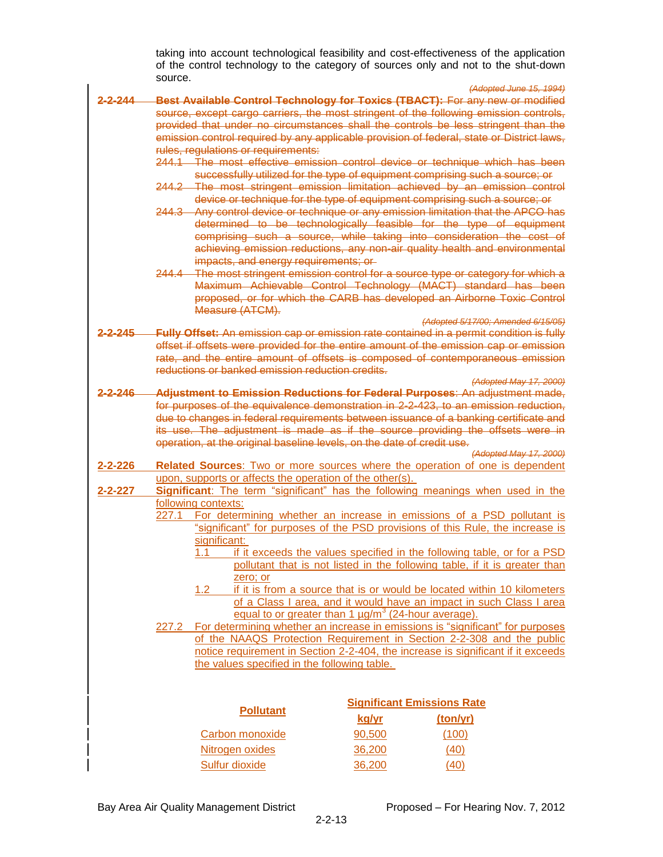taking into account technological feasibility and cost-effectiveness of the application of the control technology to the category of sources only and not to the shut-down source.

|                                                                                  |                                                                                         | (Adopted June 15, 1994)                                                                                                                                                     |  |
|----------------------------------------------------------------------------------|-----------------------------------------------------------------------------------------|-----------------------------------------------------------------------------------------------------------------------------------------------------------------------------|--|
| <u>2-2-244</u>                                                                   |                                                                                         | Best Available Control Technology for Toxics (TBACT): For any new or modified                                                                                               |  |
|                                                                                  |                                                                                         | source, except cargo carriers, the most stringent of the following emission controls,<br>provided that under no circumstances shall the controls be less stringent than the |  |
|                                                                                  |                                                                                         | emission control required by any applicable provision of federal, state or District laws,                                                                                   |  |
|                                                                                  | rules, regulations or requirements:                                                     |                                                                                                                                                                             |  |
|                                                                                  |                                                                                         | 244.1 The most effective emission control device or technique which has been                                                                                                |  |
|                                                                                  |                                                                                         | successfully utilized for the type of equipment comprising such a source; or<br>244.2 The most stringent emission limitation achieved by an emission control                |  |
|                                                                                  |                                                                                         | device or technique for the type of equipment comprising such a source; or<br>244.3 Any control device or technique or any emission limitation that the APCO has            |  |
|                                                                                  |                                                                                         | determined to be technologically feasible for the type of equipment                                                                                                         |  |
|                                                                                  |                                                                                         | comprising such a source, while taking into consideration the cost of                                                                                                       |  |
|                                                                                  |                                                                                         | achieving emission reductions, any non-air quality health and environmental                                                                                                 |  |
|                                                                                  | impacts, and energy requirements; or-                                                   |                                                                                                                                                                             |  |
|                                                                                  | 244.4                                                                                   | The most stringent emission control for a source type or category for which a<br>Maximum Achievable Control Technology (MACT) standard has been                             |  |
|                                                                                  |                                                                                         | proposed, or for which the CARB has developed an Airborne Toxic Control                                                                                                     |  |
|                                                                                  | Measure (ATCM).                                                                         |                                                                                                                                                                             |  |
|                                                                                  |                                                                                         | (Adopted 5/17/00; Amended 6/15/05)                                                                                                                                          |  |
| <del>2-2-245</del>                                                               |                                                                                         | Fully Offset: An emission cap or emission rate contained in a permit condition is fully                                                                                     |  |
|                                                                                  |                                                                                         | offset if offsets were provided for the entire amount of the emission cap or emission                                                                                       |  |
|                                                                                  |                                                                                         | rate, and the entire amount of offsets is composed of contemporaneous emission                                                                                              |  |
|                                                                                  | reductions or banked emission reduction credits.                                        |                                                                                                                                                                             |  |
| 2-2-246                                                                          |                                                                                         | (Adopted May 17, 2000)                                                                                                                                                      |  |
|                                                                                  |                                                                                         | Adjustment to Emission Reductions for Federal Purposes: An adjustment made,                                                                                                 |  |
|                                                                                  |                                                                                         | for purposes of the equivalence demonstration in 2-2-423, to an emission reduction,                                                                                         |  |
|                                                                                  |                                                                                         | due to changes in federal requirements between issuance of a banking certificate and<br>its use. The adjustment is made as if the source providing the offsets were in      |  |
|                                                                                  | operation, at the original baseline levels, on the date of credit use.                  |                                                                                                                                                                             |  |
|                                                                                  |                                                                                         | (Adopted May 17, 2000)                                                                                                                                                      |  |
| $2 - 2 - 226$                                                                    |                                                                                         | Related Sources: Two or more sources where the operation of one is dependent                                                                                                |  |
|                                                                                  | upon, supports or affects the operation of the other(s).                                |                                                                                                                                                                             |  |
| $2 - 2 - 227$                                                                    | Significant: The term "significant" has the following meanings when used in the         |                                                                                                                                                                             |  |
|                                                                                  | following contexts:                                                                     |                                                                                                                                                                             |  |
|                                                                                  | 227.1                                                                                   | For determining whether an increase in emissions of a PSD pollutant is                                                                                                      |  |
|                                                                                  |                                                                                         | "significant" for purposes of the PSD provisions of this Rule, the increase is                                                                                              |  |
|                                                                                  | significant:                                                                            |                                                                                                                                                                             |  |
|                                                                                  | 1.1                                                                                     | if it exceeds the values specified in the following table, or for a PSD                                                                                                     |  |
|                                                                                  | pollutant that is not listed in the following table, if it is greater than              |                                                                                                                                                                             |  |
|                                                                                  | zero; or                                                                                |                                                                                                                                                                             |  |
|                                                                                  | 1.2                                                                                     | if it is from a source that is or would be located within 10 kilometers                                                                                                     |  |
|                                                                                  |                                                                                         | of a Class I area, and it would have an impact in such Class I area                                                                                                         |  |
|                                                                                  |                                                                                         | equal to or greater than 1 $\mu$ g/m <sup>3</sup> (24-hour average).                                                                                                        |  |
|                                                                                  | For determining whether an increase in emissions is "significant" for purposes<br>227.2 |                                                                                                                                                                             |  |
|                                                                                  |                                                                                         | of the NAAQS Protection Requirement in Section 2-2-308 and the public                                                                                                       |  |
| notice requirement in Section 2-2-404, the increase is significant if it exceeds |                                                                                         |                                                                                                                                                                             |  |
|                                                                                  | the values specified in the following table.                                            |                                                                                                                                                                             |  |
|                                                                                  |                                                                                         |                                                                                                                                                                             |  |
|                                                                                  |                                                                                         |                                                                                                                                                                             |  |
|                                                                                  |                                                                                         | <b>Significant Emissions Rate</b>                                                                                                                                           |  |
|                                                                                  | <b>Pollutant</b>                                                                        | kg/yr<br>(ton/yr)                                                                                                                                                           |  |
|                                                                                  | <b>Carbon monoxide</b>                                                                  | (100)<br>90,500                                                                                                                                                             |  |
|                                                                                  |                                                                                         |                                                                                                                                                                             |  |
|                                                                                  | Nitrogen oxides                                                                         | 36,200<br>(40)                                                                                                                                                              |  |
|                                                                                  | <b>Sulfur dioxide</b>                                                                   | 36,200<br>(40)                                                                                                                                                              |  |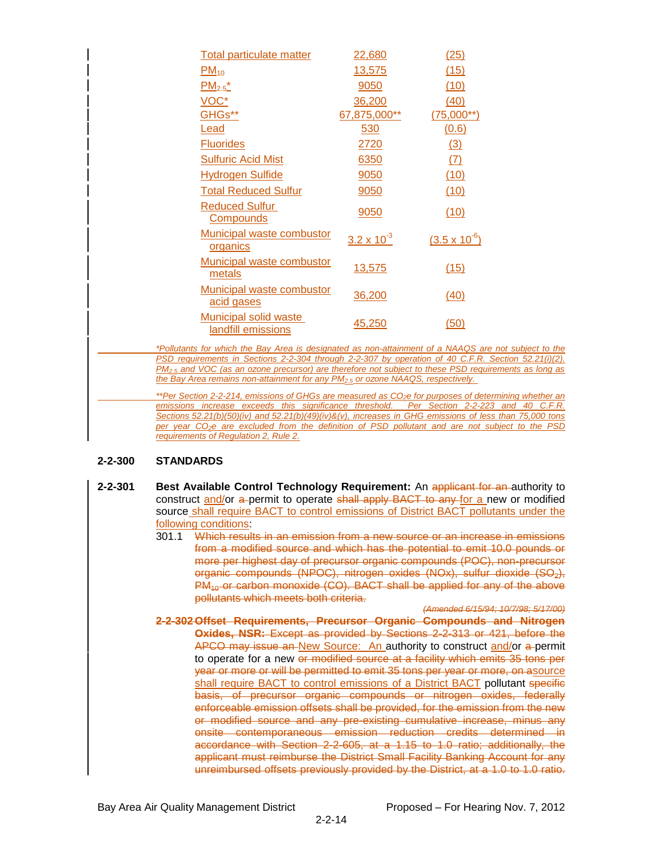| Total particulate matter                                                          | 22,680               | (25)                   |
|-----------------------------------------------------------------------------------|----------------------|------------------------|
| $PM_{10}$                                                                         | 13,575               | (15)                   |
| $PM_{2.5}^*$                                                                      | 9050                 | (10)                   |
| VOC*                                                                              | 36,200               | (40)                   |
| GHGs**                                                                            | 67,875,000**         | $(75,000**)$           |
| Lead                                                                              | 530                  | (0.6)                  |
| <b>Fluorides</b>                                                                  | 2720                 | (3)                    |
| <b>Sulfuric Acid Mist</b>                                                         | 6350                 | (7)                    |
| <b>Hydrogen Sulfide</b>                                                           | 9050                 | (10)                   |
| <b>Total Reduced Sulfur</b>                                                       | 9050                 | (10)                   |
| <b>Reduced Sulfur</b><br><b>Compounds</b>                                         | 9050                 | (10)                   |
| Municipal waste combustor<br>organics                                             | $3.2 \times 10^{-3}$ | $(3.5 \times 10^{-6})$ |
| <b>Municipal waste combustor</b><br>metals                                        | 13,575               | (15)                   |
| Municipal waste combustor<br>acid gases                                           | 36,200               | (40)                   |
| Municipal solid waste<br>landfill_emissions                                       | 45,250               | (50)                   |
| *Pollutants for which the Bay Area is designated as non-attainment of a NAAQS are |                      |                        |
| PSD requirements in Sections 2-2-304 through 2-2-307 by operation of 40 C.F.R. S  |                      |                        |

*Pot subject to the Physical region 52.21(i)(2). PM2.5 and VOC (as an ozone precursor) are therefore not subject to these PSD requirements as long as the Bay Area remains non-attainment for any PM2.5 or ozone NAAQS, respectively.*

*\*\*Per Section 2-2-214, emissions of GHGs are measured as CO2e for purposes of determining whether an emissions increase exceeds this significance threshold. Per Section 2-2-223 and 40 C.F.R. Sections 52.21(b)(50)(iv) and 52.21(b)(49)(iv)&(v), increases in GHG emissions of less than 75,000 tons per year CO2e are excluded from the definition of PSD pollutant and are not subject to the PSD requirements of Regulation 2, Rule 2.*

#### **2-2-300 STANDARDS**

- **2-2-301 Best Available Control Technology Requirement:** An applicant for an authority to construct and/or a permit to operate shall apply BACT to any for a new or modified source shall require BACT to control emissions of District BACT pollutants under the following conditions:
	- 301.1 Which results in an emission from a new source or an increase in emissions from a modified source and which has the potential to emit 10.0 pounds or more per highest day of precursor organic compounds (POC), non-precursor organic compounds (NPOC), nitrogen oxides (NOx), sulfur dioxide (SO<sub>2</sub>),  $PM_{40}$  or carbon monoxide (CO). BACT shall be applied for any of the above pollutants which meets both criteria.

*(Amended 6/15/94; 10/7/98; 5/17/00)* **2-2-302 Offset Requirements, Precursor Organic Compounds and Nitrogen Oxides, NSR:** Except as provided by Sections 2-2-313 or 421, before the APCO may issue an New Source: An authority to construct and/or a permit to operate for a new or modified source at a facility which emits 35 tons per year or more or will be permitted to emit 35 tons per year or more, on asource shall require BACT to control emissions of a District BACT pollutant specific basis, of precursor organic compounds or nitrogen oxides, federally enforceable emission offsets shall be provided, for the emission from the new or modified source and any pre-existing cumulative increase, minus any onsite contemporaneous emission reduction credits determined in accordance with Section 2-2-605, at a 1.15 to 1.0 ratio; additionally, the applicant must reimburse the District Small Facility Banking Account for any unreimbursed offsets previously provided by the District, at a 1.0 to 1.0 ratio.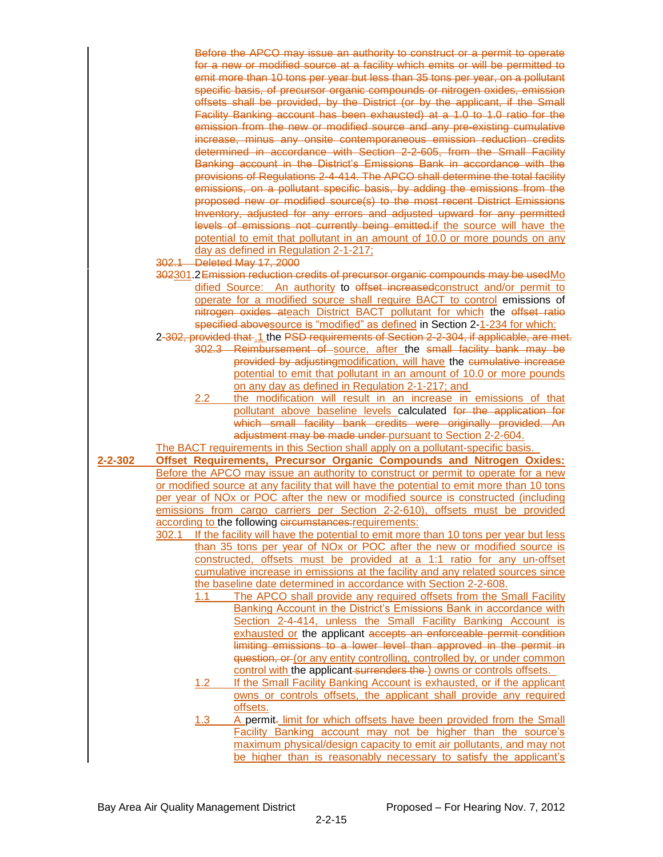Before the APCO may issue an authority to construct or a permit to operate for a new or modified source at a facility which emits or will be permitted to emit more than 10 tons per year but less than 35 tons per year, on a pollutant specific basis, of precursor organic compounds or nitrogen oxides, emission offsets shall be provided, by the District (or by the applicant, if the Small Facility Banking account has been exhausted) at a 1.0 to 1.0 ratio for the emission from the new or modified source and any pre-existing cumulative increase, minus any onsite contemporaneous emission reduction credits determined in accordance with Section 2-2-605, from the Small Facility Banking account in the District's Emissions Bank in accordance with the provisions of Regulations 2-4-414. The APCO shall determine the total facility emissions, on a pollutant specific basis, by adding the emissions from the proposed new or modified source(s) to the most recent District Emissions Inventory, adjusted for any errors and adjusted upward for any permitted levels of emissions not currently being emitted.if the source will have the potential to emit that pollutant in an amount of 10.0 or more pounds on any day as defined in Regulation 2-1-217;

- 302.1 Deleted May 17, 2000
- 302301.2Emission reduction credits of precursor organic compounds may be usedMo dified Source: An authority to effset increased construct and/or permit to operate for a modified source shall require BACT to control emissions of nitrogen oxides ateach District BACT pollutant for which the effset ratio specified abovesource is "modified" as defined in Section 2-1-234 for which:
- 2-302, provided that .1 the PSD requirements of Section 2-2-304, if applicable, are met. 302.3 Reimbursement of source, after the small facility bank may be provided by adjustingmodification, will have the cumulative increase potential to emit that pollutant in an amount of 10.0 or more pounds on any day as defined in Regulation 2-1-217; and
	- 2.2 the modification will result in an increase in emissions of that pollutant above baseline levels calculated for the application for which small facility bank credits were originally provided. An adjustment may be made under pursuant to Section 2-2-604.
- The BACT requirements in this Section shall apply on a pollutant-specific basis.
- **2-2-302 Offset Requirements, Precursor Organic Compounds and Nitrogen Oxides:** Before the APCO may issue an authority to construct or permit to operate for a new or modified source at any facility that will have the potential to emit more than 10 tons per year of NOx or POC after the new or modified source is constructed (including emissions from cargo carriers per Section 2-2-610), offsets must be provided according to the following circumstances: requirements:
	- 302.1 If the facility will have the potential to emit more than 10 tons per year but less than 35 tons per year of NOx or POC after the new or modified source is constructed, offsets must be provided at a 1:1 ratio for any un-offset cumulative increase in emissions at the facility and any related sources since the baseline date determined in accordance with Section 2-2-608.
		- 1.1 The APCO shall provide any required offsets from the Small Facility Banking Account in the District's Emissions Bank in accordance with Section 2-4-414, unless the Small Facility Banking Account is exhausted or the applicant accepts an enforceable permit condition limiting emissions to a lower level than approved in the permit in question, or (or any entity controlling, controlled by, or under common control with the applicant surrenders the ) owns or controls offsets.
		- 1.2 If the Small Facility Banking Account is exhausted, or if the applicant owns or controls offsets, the applicant shall provide any required offsets.
		- 1.3 A permit- limit for which offsets have been provided from the Small Facility Banking account may not be higher than the source's maximum physical/design capacity to emit air pollutants, and may not be higher than is reasonably necessary to satisfy the applicant's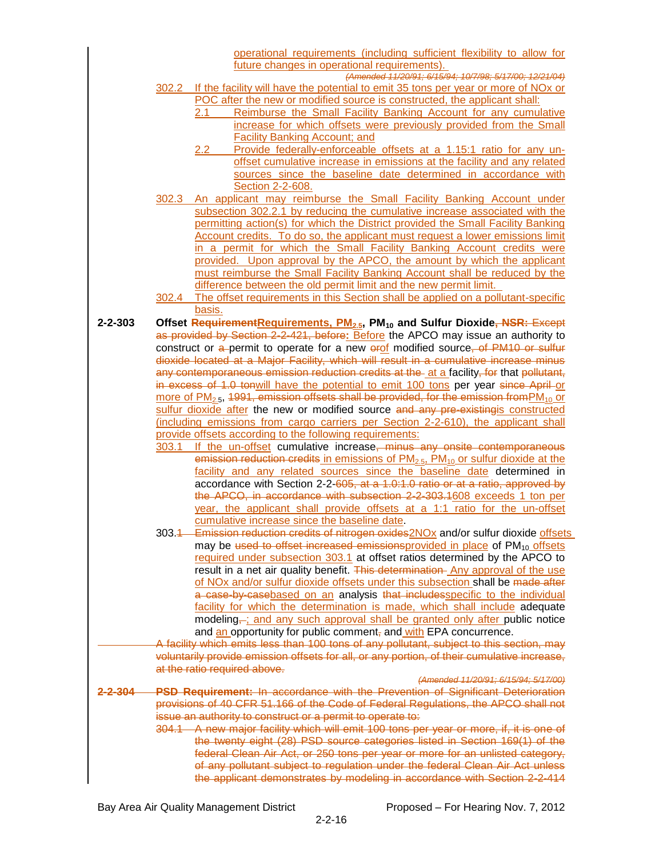|                    | operational requirements (including sufficient flexibility to allow for                                                                                                     |  |
|--------------------|-----------------------------------------------------------------------------------------------------------------------------------------------------------------------------|--|
|                    | future changes in operational requirements).<br>(Amended 11/20/91; 6/15/94; 10/7/98; 5/17/00; 12/21/04)                                                                     |  |
|                    | 302.2 If the facility will have the potential to emit 35 tons per year or more of NOx or                                                                                    |  |
|                    | POC after the new or modified source is constructed, the applicant shall:                                                                                                   |  |
|                    | Reimburse the Small Facility Banking Account for any cumulative<br>2.1                                                                                                      |  |
|                    | increase for which offsets were previously provided from the Small                                                                                                          |  |
|                    | <b>Facility Banking Account; and</b><br>Provide federally-enforceable offsets at a 1.15:1 ratio for any un-<br>2.2                                                          |  |
|                    | offset cumulative increase in emissions at the facility and any related                                                                                                     |  |
|                    | sources since the baseline date determined in accordance with                                                                                                               |  |
|                    | Section 2-2-608.                                                                                                                                                            |  |
|                    | 302.3 An applicant may reimburse the Small Facility Banking Account under                                                                                                   |  |
|                    | subsection 302.2.1 by reducing the cumulative increase associated with the<br>permitting action(s) for which the District provided the Small Facility Banking               |  |
|                    | Account credits. To do so, the applicant must request a lower emissions limit                                                                                               |  |
|                    | in a permit for which the Small Facility Banking Account credits were                                                                                                       |  |
|                    | provided. Upon approval by the APCO, the amount by which the applicant                                                                                                      |  |
|                    | must reimburse the Small Facility Banking Account shall be reduced by the<br>difference between the old permit limit and the new permit limit.                              |  |
|                    | 302.4 The offset requirements in this Section shall be applied on a pollutant-specific                                                                                      |  |
|                    | basis.                                                                                                                                                                      |  |
| $2 - 2 - 303$      | Offset Requirement Requirements, PM <sub>2.5</sub> , PM <sub>10</sub> and Sulfur Dioxide, NSR: Except                                                                       |  |
|                    | as provided by Section 2-2-421, before: Before the APCO may issue an authority to                                                                                           |  |
|                    | construct or a permit to operate for a new erof modified source, of PM10 or sulfur<br>dioxide located at a Major Facility, which will result in a cumulative increase minus |  |
|                    | any contemporaneous emission reduction credits at the at a facility, for that pollutant,                                                                                    |  |
|                    | in excess of 1.0 tonwill have the potential to emit 100 tons per year since April or                                                                                        |  |
|                    | more of $PM_{2.5}$ , 1991, emission offsets shall be provided, for the emission from $PM_{10}$ or                                                                           |  |
|                    | sulfur dioxide after the new or modified source and any pre-existingis constructed                                                                                          |  |
|                    | (including emissions from cargo carriers per Section 2-2-610), the applicant shall<br>provide offsets according to the following requirements:                              |  |
|                    | If the un-offset cumulative increase, minus any onsite contemporaneous<br>303.1                                                                                             |  |
|                    | emission reduction credits in emissions of $PM_{2.5}$ , $PM_{10}$ or sulfur dioxide at the                                                                                  |  |
|                    | facility and any related sources since the baseline date determined in                                                                                                      |  |
|                    | accordance with Section 2-2-605, at a 1.0:1.0 ratio or at a ratio, approved by<br>the APCO, in accordance with subsection 2-2-303.1608 exceeds 1 ton per                    |  |
|                    | year, the applicant shall provide offsets at a 1:1 ratio for the un-offset                                                                                                  |  |
|                    | cumulative increase since the baseline date.                                                                                                                                |  |
|                    | 303.4 Emission reduction credits of nitrogen oxides 2NOx and/or sulfur dioxide offsets                                                                                      |  |
|                    | may be used to offset increased emissionsprovided in place of PM <sub>10</sub> offsets<br>required under subsection 303.1 at offset ratios determined by the APCO to        |  |
|                    | result in a net air quality benefit. This determination Any approval of the use                                                                                             |  |
|                    | of NOx and/or sulfur dioxide offsets under this subsection shall be made after                                                                                              |  |
|                    | a case-by-casebased on an analysis that includesspecific to the individual                                                                                                  |  |
|                    | facility for which the determination is made, which shall include adequate<br>modeling,-; and any such approval shall be granted only after public notice                   |  |
|                    | and an opportunity for public comment, and with EPA concurrence.                                                                                                            |  |
|                    | A facility which emits less than 100 tons of any pollutant, subject to this section, may                                                                                    |  |
|                    | voluntarily provide emission offsets for all, or any portion, of their cumulative increase,                                                                                 |  |
|                    | at the ratio required above.<br>(Amended 11/20/91; 6/15/94; 5/17/00)                                                                                                        |  |
| <del>2-2-304</del> | PSD Requirement: In accordance with the Prevention of Significant Deterioration                                                                                             |  |
|                    | provisions of 40 CFR 51.166 of the Code of Federal Regulations, the APCO shall not                                                                                          |  |
|                    | issue an authority to construct or a permit to operate to:                                                                                                                  |  |
|                    | 304.1 A new major facility which will emit 100 tons per year or more, if, it is one of                                                                                      |  |
|                    | the twenty eight (28) PSD source categories listed in Section 169(1) of the<br>federal Clean Air Act, or 250 tons per year or more for an unlisted category,                |  |
|                    | of any pollutant subject to regulation under the federal Clean Air Act unless                                                                                               |  |
|                    | the applicant demonstrates by modeling in accordance with Section 2-2-414                                                                                                   |  |
|                    |                                                                                                                                                                             |  |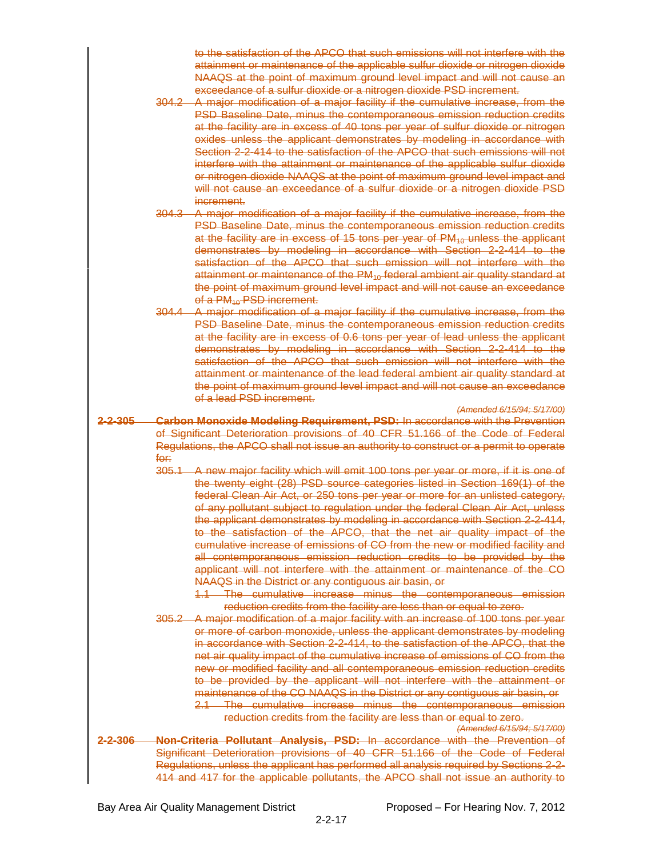to the satisfaction of the APCO that such emissions will not interfere with the attainment or maintenance of the applicable sulfur dioxide or nitrogen dioxide NAAQS at the point of maximum ground level impact and will not cause an exceedance of a sulfur dioxide or a nitrogen dioxide PSD increment.

- 304.2 A major modification of a major facility if the cumulative increase, from the PSD Baseline Date, minus the contemporaneous emission reduction credits at the facility are in excess of 40 tons per year of sulfur dioxide or nitrogen oxides unless the applicant demonstrates by modeling in accordance with Section 2-2-414 to the satisfaction of the APCO that such emissions will not interfere with the attainment or maintenance of the applicable sulfur dioxide or nitrogen dioxide NAAQS at the point of maximum ground level impact and will not cause an exceedance of a sulfur dioxide or a nitrogen dioxide PSD increment.
- 304.3 A major modification of a major facility if the cumulative increase, from the PSD Baseline Date, minus the contemporaneous emission reduction credits at the facility are in excess of 15 tons per year of  $PM_{40}$  unless the applicant demonstrates by modeling in accordance with Section 2-2-414 to the satisfaction of the APCO that such emission will not interfere with the attainment or maintenance of the  $PM_{10}$  federal ambient air quality standard at the point of maximum ground level impact and will not cause an exceedance of a PM<sub>10</sub> PSD increment.
- 304.4 A major modification of a major facility if the cumulative increase, from the PSD Baseline Date, minus the contemporaneous emission reduction credits at the facility are in excess of 0.6 tons per year of lead unless the applicant demonstrates by modeling in accordance with Section 2-2-414 to the satisfaction of the APCO that such emission will not interfere with the attainment or maintenance of the lead federal ambient air quality standard at the point of maximum ground level impact and will not cause an exceedance of a lead PSD increment.

*(Amended 6/15/94; 5/17/00)*

- **2-2-305 Carbon Monoxide Modeling Requirement, PSD:** In accordance with the Prevention of Significant Deterioration provisions of 40 CFR 51.166 of the Code of Federal Regulations, the APCO shall not issue an authority to construct or a permit to operate <del>for:</del><br>305.1
	- A new major facility which will emit 100 tons per year or more, if it is one of the twenty eight (28) PSD source categories listed in Section 169(1) of the federal Clean Air Act, or 250 tons per year or more for an unlisted category, of any pollutant subject to regulation under the federal Clean Air Act, unless the applicant demonstrates by modeling in accordance with Section 2-2-414, to the satisfaction of the APCO, that the net air quality impact of the cumulative increase of emissions of CO from the new or modified facility and all contemporaneous emission reduction credits to be provided by the applicant will not interfere with the attainment or maintenance of the CO NAAQS in the District or any contiguous air basin, or

1.1 The cumulative increase minus the contemporaneous emission reduction credits from the facility are less than or equal to zero.

305.2 A major modification of a major facility with an increase of 100 tons per year or more of carbon monoxide, unless the applicant demonstrates by modeling in accordance with Section 2-2-414, to the satisfaction of the APCO, that the net air quality impact of the cumulative increase of emissions of CO from the new or modified facility and all contemporaneous emission reduction credits to be provided by the applicant will not interfere with the attainment or maintenance of the CO NAAQS in the District or any contiguous air basin, or 2.1 The cumulative increase minus the contemporaneous emission

```
reduction credits from the facility are less than or equal to zero.
                                         (Amended 6/15/94; 5/17/00)
```
**2-2-306 Non-Criteria Pollutant Analysis, PSD:** In accordance with the Prevention of Significant Deterioration provisions of 40 CFR 51.166 of the Code of Federal Regulations, unless the applicant has performed all analysis required by Sections 2-2- 414 and 417 for the applicable pollutants, the APCO shall not issue an authority to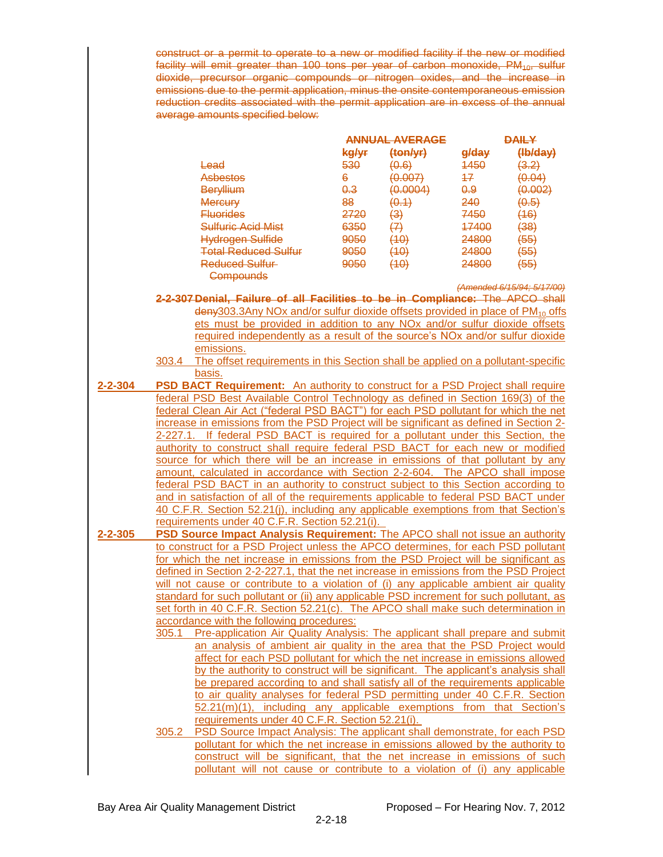construct or a permit to operate to a new or modified facility if the new or modified facility will emit greater than 100 tons per year of carbon monoxide, PM<sub>10</sub>, sulfur dioxide, precursor organic compounds or nitrogen oxides, and the increase in emissions due to the permit application, minus the onsite contemporaneous emission reduction credits associated with the permit application are in excess of the annual average amounts specified below:

|                                 |                 | ANNIIAL AVERAGE                     |                | <b>DAILY</b>     |  |
|---------------------------------|-----------------|-------------------------------------|----------------|------------------|--|
|                                 | kg/yr           | $\{ton/yr\}$                        | g/day          | (Hb/day)         |  |
| <del>Lead</del>                 | 530             | (0.6)                               | 4450           | <del>(3.2)</del> |  |
| Asbestos                        | 6               | <u>(A AAZ)</u><br><del>רזט.טו</del> | 47             | (0.04)           |  |
| <b>Beryllium</b>                | <del>0.3</del>  | (0.0004)                            | <del>0.9</del> | (0.002)          |  |
| <b>Mercury</b>                  | 88              | (0.1)                               | 240            | (0.5)            |  |
| <u>Fluorides</u>                | 2720            | (3)                                 | 7450           | <del>(16)</del>  |  |
| <del>Sulfuric Acid Mist</del>   | 6350            | (7)                                 | 47400          | (38)             |  |
| Hydrogen Sulfide                | <del>9050</del> | (10)                                | 24800          | (55)             |  |
| <del>Total Reduced Sulfur</del> | 9050            | (10<br>٣U                           | 24800          | (55)             |  |
| <del>Reduced Sulfur</del>       | 9050            | (10)                                | 24800          | (55)             |  |
|                                 |                 |                                     |                |                  |  |

*(Amended 6/15/94; 5/17/00)*

**2-2-307 Denial, Failure of all Facilities to be in Compliance:** The APCO shall  $\frac{1}{2}$  deny303.3Any NOx and/or sulfur dioxide offsets provided in place of PM<sub>10</sub> offs ets must be provided in addition to any NOx and/or sulfur dioxide offsets required independently as a result of the source's NOx and/or sulfur dioxide emissions.

**Compounds** 

- 303.4 The offset requirements in this Section shall be applied on a pollutant-specific basis.
- **2-2-304 PSD BACT Requirement:** An authority to construct for a PSD Project shall require federal PSD Best Available Control Technology as defined in Section 169(3) of the federal Clean Air Act ("federal PSD BACT") for each PSD pollutant for which the net increase in emissions from the PSD Project will be significant as defined in Section 2- 2-227.1. If federal PSD BACT is required for a pollutant under this Section, the authority to construct shall require federal PSD BACT for each new or modified source for which there will be an increase in emissions of that pollutant by any amount, calculated in accordance with Section 2-2-604. The APCO shall impose federal PSD BACT in an authority to construct subject to this Section according to and in satisfaction of all of the requirements applicable to federal PSD BACT under 40 C.F.R. Section 52.21(j), including any applicable exemptions from that Section's requirements under 40 C.F.R. Section 52.21(i).
- **2-2-305 PSD Source Impact Analysis Requirement:** The APCO shall not issue an authority to construct for a PSD Project unless the APCO determines, for each PSD pollutant for which the net increase in emissions from the PSD Project will be significant as defined in Section 2-2-227.1, that the net increase in emissions from the PSD Project will not cause or contribute to a violation of (i) any applicable ambient air quality standard for such pollutant or (ii) any applicable PSD increment for such pollutant, as set forth in 40 C.F.R. Section 52.21(c). The APCO shall make such determination in accordance with the following procedures:
	- 305.1 Pre-application Air Quality Analysis: The applicant shall prepare and submit an analysis of ambient air quality in the area that the PSD Project would affect for each PSD pollutant for which the net increase in emissions allowed by the authority to construct will be significant. The applicant's analysis shall be prepared according to and shall satisfy all of the requirements applicable to air quality analyses for federal PSD permitting under 40 C.F.R. Section 52.21(m)(1), including any applicable exemptions from that Section's requirements under 40 C.F.R. Section 52.21(i).
	- 305.2 PSD Source Impact Analysis: The applicant shall demonstrate, for each PSD pollutant for which the net increase in emissions allowed by the authority to construct will be significant, that the net increase in emissions of such pollutant will not cause or contribute to a violation of (i) any applicable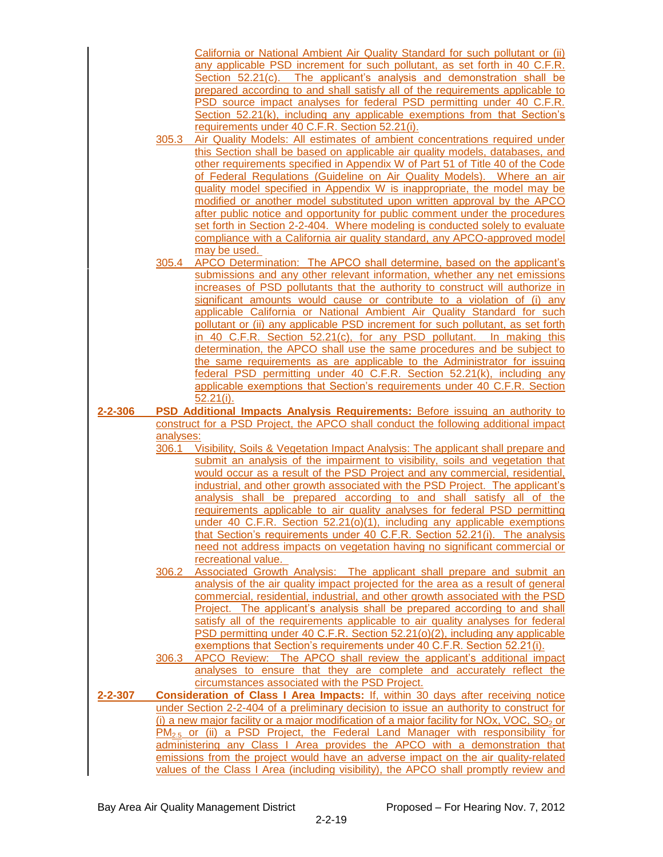|               |           | California or National Ambient Air Quality Standard for such pollutant or (ii)<br>any applicable PSD increment for such pollutant, as set forth in 40 C.F.R.     |
|---------------|-----------|------------------------------------------------------------------------------------------------------------------------------------------------------------------|
|               |           | Section 52.21(c). The applicant's analysis and demonstration shall be                                                                                            |
|               |           | prepared according to and shall satisfy all of the requirements applicable to                                                                                    |
|               |           | PSD source impact analyses for federal PSD permitting under 40 C.F.R.                                                                                            |
|               |           | Section 52.21(k), including any applicable exemptions from that Section's<br>requirements under 40 C.F.R. Section 52.21(i).                                      |
|               | 305.3     | Air Quality Models: All estimates of ambient concentrations required under                                                                                       |
|               |           | this Section shall be based on applicable air quality models, databases, and                                                                                     |
|               |           | other requirements specified in Appendix W of Part 51 of Title 40 of the Code                                                                                    |
|               |           | of Federal Regulations (Guideline on Air Quality Models). Where an air                                                                                           |
|               |           | quality model specified in Appendix W is inappropriate, the model may be                                                                                         |
|               |           | modified or another model substituted upon written approval by the APCO                                                                                          |
|               |           | after public notice and opportunity for public comment under the procedures                                                                                      |
|               |           | set forth in Section 2-2-404. Where modeling is conducted solely to evaluate                                                                                     |
|               |           | compliance with a California air quality standard, any APCO-approved model                                                                                       |
|               | 305.4     | may be used.<br>APCO Determination: The APCO shall determine, based on the applicant's                                                                           |
|               |           | submissions and any other relevant information, whether any net emissions                                                                                        |
|               |           | increases of PSD pollutants that the authority to construct will authorize in                                                                                    |
|               |           | significant amounts would cause or contribute to a violation of (i) any                                                                                          |
|               |           | applicable California or National Ambient Air Quality Standard for such                                                                                          |
|               |           | pollutant or (ii) any applicable PSD increment for such pollutant, as set forth                                                                                  |
|               |           | in 40 C.F.R. Section 52.21(c), for any PSD pollutant. In making this                                                                                             |
|               |           | determination, the APCO shall use the same procedures and be subject to                                                                                          |
|               |           | the same requirements as are applicable to the Administrator for issuing                                                                                         |
|               |           | federal PSD permitting under 40 C.F.R. Section 52.21(k), including any                                                                                           |
|               |           | applicable exemptions that Section's requirements under 40 C.F.R. Section<br>52.21(i).                                                                           |
| $2 - 2 - 306$ |           | PSD Additional Impacts Analysis Requirements: Before issuing an authority to                                                                                     |
|               |           | construct for a PSD Project, the APCO shall conduct the following additional impact                                                                              |
|               | analyses: |                                                                                                                                                                  |
|               | 306.1     | Visibility, Soils & Vegetation Impact Analysis: The applicant shall prepare and                                                                                  |
|               |           | submit an analysis of the impairment to visibility, soils and vegetation that                                                                                    |
|               |           | would occur as a result of the PSD Project and any commercial, residential,                                                                                      |
|               |           | industrial, and other growth associated with the PSD Project. The applicant's                                                                                    |
|               |           | analysis shall be prepared according to and shall satisfy all of the<br>requirements applicable to air quality analyses for federal PSD permitting               |
|               |           | under 40 C.F.R. Section 52.21(o)(1), including any applicable exemptions                                                                                         |
|               |           | that Section's requirements under 40 C.F.R. Section 52.21(i). The analysis                                                                                       |
|               |           | need not address impacts on vegetation having no significant commercial or                                                                                       |
|               |           | recreational value.                                                                                                                                              |
|               | 306.2     | Associated Growth Analysis: The applicant shall prepare and submit an                                                                                            |
|               |           | analysis of the air quality impact projected for the area as a result of general                                                                                 |
|               |           | commercial, residential, industrial, and other growth associated with the PSD                                                                                    |
|               |           | Project. The applicant's analysis shall be prepared according to and shall                                                                                       |
|               |           | satisfy all of the requirements applicable to air quality analyses for federal                                                                                   |
|               |           | PSD permitting under 40 C.F.R. Section 52.21(o)(2), including any applicable<br>exemptions that Section's requirements under 40 C.F.R. Section 52.21(i).         |
|               | 306.3     | APCO Review: The APCO shall review the applicant's additional impact                                                                                             |
|               |           | analyses to ensure that they are complete and accurately reflect the                                                                                             |
|               |           | circumstances associated with the PSD Project.                                                                                                                   |
| $2 - 2 - 307$ |           | <b>Consideration of Class I Area Impacts:</b> If, within 30 days after receiving notice                                                                          |
|               |           | under Section 2-2-404 of a preliminary decision to issue an authority to construct for                                                                           |
|               |           | (i) a new major facility or a major modification of a major facility for NOx, VOC, $SO2$ or                                                                      |
|               |           | $PM_{2.5}$ or (ii) a PSD Project, the Federal Land Manager with responsibility for                                                                               |
|               |           |                                                                                                                                                                  |
|               |           | administering any Class I Area provides the APCO with a demonstration that<br>emissions from the project would have an adverse impact on the air quality-related |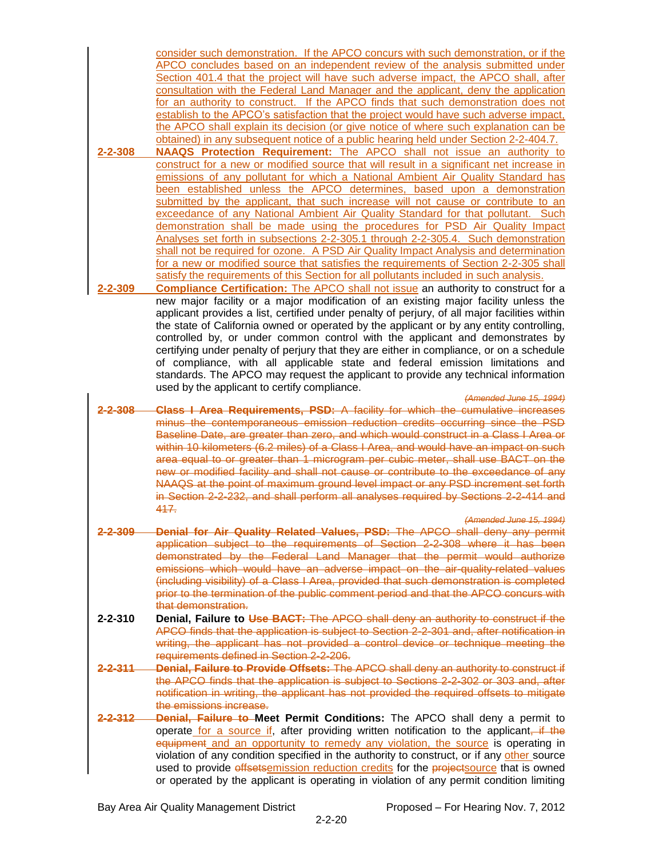consider such demonstration. If the APCO concurs with such demonstration, or if the APCO concludes based on an independent review of the analysis submitted under Section 401.4 that the project will have such adverse impact, the APCO shall, after consultation with the Federal Land Manager and the applicant, deny the application for an authority to construct. If the APCO finds that such demonstration does not establish to the APCO's satisfaction that the project would have such adverse impact, the APCO shall explain its decision (or give notice of where such explanation can be obtained) in any subsequent notice of a public hearing held under Section 2-2-404.7.

- **2-2-308 NAAQS Protection Requirement:** The APCO shall not issue an authority to construct for a new or modified source that will result in a significant net increase in emissions of any pollutant for which a National Ambient Air Quality Standard has been established unless the APCO determines, based upon a demonstration submitted by the applicant, that such increase will not cause or contribute to an exceedance of any National Ambient Air Quality Standard for that pollutant. Such demonstration shall be made using the procedures for PSD Air Quality Impact Analyses set forth in subsections 2-2-305.1 through 2-2-305.4. Such demonstration shall not be required for ozone. A PSD Air Quality Impact Analysis and determination for a new or modified source that satisfies the requirements of Section 2-2-305 shall satisfy the requirements of this Section for all pollutants included in such analysis.
- **2-2-309 Compliance Certification:** The APCO shall not issue an authority to construct for a new major facility or a major modification of an existing major facility unless the applicant provides a list, certified under penalty of perjury, of all major facilities within the state of California owned or operated by the applicant or by any entity controlling, controlled by, or under common control with the applicant and demonstrates by certifying under penalty of perjury that they are either in compliance, or on a schedule of compliance, with all applicable state and federal emission limitations and standards. The APCO may request the applicant to provide any technical information used by the applicant to certify compliance.
- *(Amended June 15, 1994)* **2-2-308 Class I Area Requirements, PSD:** A facility for which the cumulative increases minus the contemporaneous emission reduction credits occurring since the PSD Baseline Date, are greater than zero, and which would construct in a Class I Area or within 10 kilometers (6.2 miles) of a Class I Area, and would have an impact on such area equal to or greater than 1 microgram per cubic meter, shall use BACT on the new or modified facility and shall not cause or contribute to the exceedance of any NAAQS at the point of maximum ground level impact or any PSD increment set forth in Section 2-2-232, and shall perform all analyses required by Sections 2-2-414 and 417.
	- *(Amended June 15, 1994)*
- **2-2-309 Denial for Air Quality Related Values, PSD:** The APCO shall deny any permit application subject to the requirements of Section 2-2-308 where it has been demonstrated by the Federal Land Manager that the permit would authorize emissions which would have an adverse impact on the air-quality-related values (including visibility) of a Class I Area, provided that such demonstration is completed prior to the termination of the public comment period and that the APCO concurs with that demonstration.
- **2-2-310 Denial, Failure to Use BACT:** The APCO shall deny an authority to construct if the APCO finds that the application is subject to Section 2-2-301 and, after notification in writing, the applicant has not provided a control device or technique meeting the requirements defined in Section 2-2-206.
- **2-2-311 Denial, Failure to Provide Offsets:** The APCO shall deny an authority to construct if the APCO finds that the application is subject to Sections 2-2-302 or 303 and, after notification in writing, the applicant has not provided the required offsets to mitigate the emissions increase.
- **2-2-312 Denial, Failure to Meet Permit Conditions:** The APCO shall deny a permit to operate for a source if, after providing written notification to the applicant, if the equipment and an opportunity to remedy any violation, the source is operating in violation of any condition specified in the authority to construct, or if any other source used to provide offsetsemission reduction credits for the projectsource that is owned or operated by the applicant is operating in violation of any permit condition limiting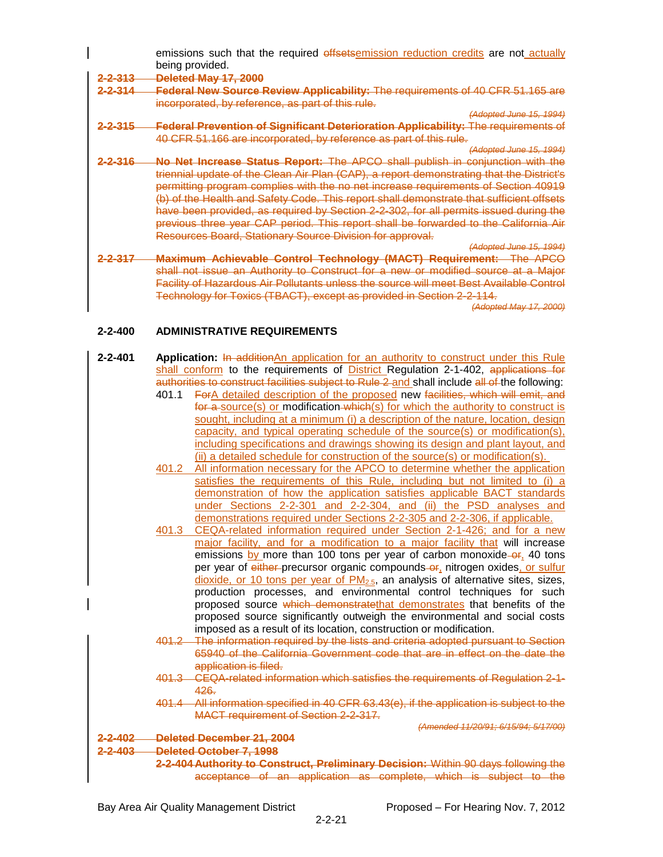emissions such that the required offsetsemission reduction credits are not actually being provided.

**2-2-313 Deleted May 17, 2000**

**2-2-314 Federal New Source Review Applicability:** The requirements of 40 CFR 51.165 are incorporated, by reference, as part of this rule.

*(Adopted June 15, 1994)*

- **2-2-315 Federal Prevention of Significant Deterioration Applicability:** The requirements of 40 CFR 51.166 are incorporated, by reference as part of this rule.
- *(Adopted June 15, 1994)* **2-2-316 No Net Increase Status Report:** The APCO shall publish in conjunction with the triennial update of the Clean Air Plan (CAP), a report demonstrating that the District's permitting program complies with the no net increase requirements of Section 40919 (b) of the Health and Safety Code. This report shall demonstrate that sufficient offsets have been provided, as required by Section 2-2-302, for all permits issued during the previous three year CAP period. This report shall be forwarded to the California Air Resources Board, Stationary Source Division for approval.
- *(Adopted June 15, 1994)* **2-2-317 Maximum Achievable Control Technology (MACT) Requirement:** The APCO shall not issue an Authority to Construct for a new or modified source at a Major Facility of Hazardous Air Pollutants unless the source will meet Best Available Control Technology for Toxics (TBACT), except as provided in Section 2-2-114.

*(Adopted May 17, 2000)*

### **2-2-400 ADMINISTRATIVE REQUIREMENTS**

| $2 - 2 - 401$ | Application: In additionAn application for an authority to construct under this Rule          |
|---------------|-----------------------------------------------------------------------------------------------|
|               | shall conform to the requirements of District Regulation 2-1-402, applications for            |
|               | authorities to construct facilities subject to Rule 2 and shall include all of the following: |
|               | ForA detailed description of the proposed new facilities, which will emit, and<br>401.1       |
|               | for a source(s) or modification which (s) for which the authority to construct is             |
|               | sought, including at a minimum (i) a description of the nature, location, design              |
|               | capacity, and typical operating schedule of the source(s) or modification(s),                 |
|               | including specifications and drawings showing its design and plant layout, and                |
|               | (ii) a detailed schedule for construction of the source(s) or modification(s).                |
|               | All information necessary for the APCO to determine whether the application<br>401.2          |
|               | satisfies the requirements of this Rule, including but not limited to (i) a                   |
|               | demonstration of how the application satisfies applicable BACT standards                      |
|               | under Sections 2-2-301 and 2-2-304, and (ii) the PSD analyses and                             |
|               | demonstrations required under Sections 2-2-305 and 2-2-306, if applicable.                    |
|               | CEQA-related information required under Section 2-1-426; and for a new<br>401.3               |
|               | major facility, and for a modification to a major facility that will increase                 |
|               | emissions by more than 100 tons per year of carbon monoxide–or, 40 tons                       |
|               | per year of either-precursor organic compounds-or, nitrogen oxides, or sulfur                 |
|               | dioxide, or 10 tons per year of $PM2.5$ , an analysis of alternative sites, sizes,            |
|               | production processes, and environmental control techniques for such                           |
|               | proposed source which demonstratethat demonstrates that benefits of the                       |
|               | proposed source significantly outweigh the environmental and social costs                     |
|               | imposed as a result of its location, construction or modification.                            |
|               | 401.2 The information required by the lists and criteria adopted pursuant to Section          |
|               | 65940 of the California Government code that are in effect on the date the                    |
|               | application is filed.                                                                         |
|               | 401.3 CEQA-related information which satisfies the requirements of Requiation 2-1-            |
|               | $426 -$                                                                                       |
|               | 401.4 All information specified in 40 CFR 63.43(e), if the application is subject to the      |
|               | <b>MACT requirement of Section 2-2-317.</b>                                                   |
|               | (Amended 11/20/91: 6/15/94: 5/17/00)                                                          |
| 2-2-402       | Deleted December 21, 2004                                                                     |
| $2 - 2 - 403$ | <b>Deleted October 7, 1998</b>                                                                |
|               | 2-2-404 Authority to Construct. Preliminary Decision: Within 90 days following the            |

acceptance of an application as complete, which is subject to the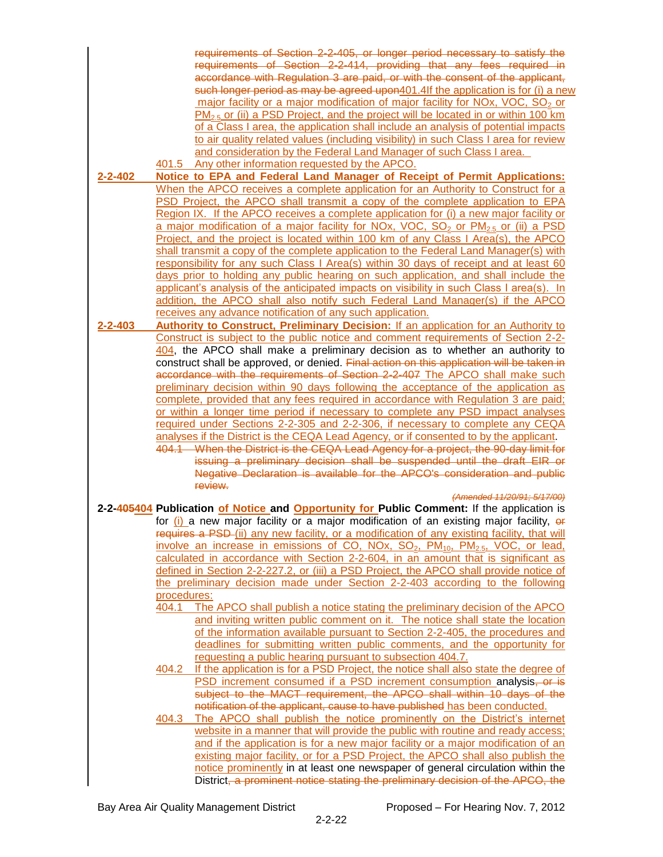|         | requirements of Section 2-2-405, or longer period necessary to satisfy the                                          |
|---------|---------------------------------------------------------------------------------------------------------------------|
|         | requirements of Section 2-2-414, providing that any fees required in                                                |
|         | accordance with Regulation 3 are paid, or with the consent of the applicant,                                        |
|         | such longer period as may be agreed upon401.4If the application is for (i) a new                                    |
|         | major facility or a major modification of major facility for NOx, VOC, SO <sub>2</sub> or                           |
|         | $PM_{2.5}$ or (ii) a PSD Project, and the project will be located in or within 100 km                               |
|         | of a Class I area, the application shall include an analysis of potential impacts                                   |
|         | to air quality related values (including visibility) in such Class I area for review                                |
|         |                                                                                                                     |
|         | and consideration by the Federal Land Manager of such Class I area.                                                 |
|         | 401.5 Any other information requested by the APCO.                                                                  |
| 2-2-402 | Notice to EPA and Federal Land Manager of Receipt of Permit Applications:                                           |
|         | When the APCO receives a complete application for an Authority to Construct for a                                   |
|         | PSD Project, the APCO shall transmit a copy of the complete application to EPA                                      |
|         | Region IX. If the APCO receives a complete application for (i) a new major facility or                              |
|         | a major modification of a major facility for NOx, VOC, $SO_2$ or $PM_{2.5}$ or (ii) a PSD                           |
|         | Project, and the project is located within 100 km of any Class I Area(s), the APCO                                  |
|         | shall transmit a copy of the complete application to the Federal Land Manager(s) with                               |
|         | responsibility for any such Class I Area(s) within 30 days of receipt and at least 60                               |
|         | days prior to holding any public hearing on such application, and shall include the                                 |
|         | applicant's analysis of the anticipated impacts on visibility in such Class I area(s). In                           |
|         |                                                                                                                     |
|         | addition, the APCO shall also notify such Federal Land Manager(s) if the APCO                                       |
|         | receives any advance notification of any such application.                                                          |
| 2-2-403 | Authority to Construct, Preliminary Decision: If an application for an Authority to                                 |
|         | Construct is subject to the public notice and comment requirements of Section 2-2-                                  |
|         | 404, the APCO shall make a preliminary decision as to whether an authority to                                       |
|         | construct shall be approved, or denied. Final action on this application will be taken in                           |
|         | accordance with the requirements of Section 2-2-407 The APCO shall make such                                        |
|         | preliminary decision within 90 days following the acceptance of the application as                                  |
|         | complete, provided that any fees required in accordance with Regulation 3 are paid;                                 |
|         | or within a longer time period if necessary to complete any PSD impact analyses                                     |
|         | required under Sections 2-2-305 and 2-2-306, if necessary to complete any CEQA                                      |
|         | analyses if the District is the CEQA Lead Agency, or if consented to by the applicant.                              |
|         | 404.1 When the District is the CEQA Lead Agency for a project, the 90-day limit for                                 |
|         | issuing a preliminary decision shall be suspended until the draft EIR or                                            |
|         | Negative Declaration is available for the APCO's consideration and public                                           |
|         | review.                                                                                                             |
|         | (Amended 11/20/91; 5/17/00)                                                                                         |
|         | 2-2-405404 Publication of Notice and Opportunity for Public Comment: If the application is                          |
|         | for $(i)$ a new major facility or a major modification of an existing major facility, $er$                          |
|         | requires a PSD-(ii) any new facility, or a modification of any existing facility, that will                         |
|         | involve an increase in emissions of CO, NOx, SO <sub>2</sub> , PM <sub>10</sub> , PM <sub>2.5</sub> , VOC, or lead, |
|         | calculated in accordance with Section 2-2-604, in an amount that is significant as                                  |
|         | defined in Section 2-2-227.2, or (iii) a PSD Project, the APCO shall provide notice of                              |
|         | the preliminary decision made under Section 2-2-403 according to the following                                      |
|         | procedures:                                                                                                         |
|         | The APCO shall publish a notice stating the preliminary decision of the APCO<br>404.1                               |
|         | and inviting written public comment on it. The notice shall state the location                                      |
|         | of the information available pursuant to Section 2-2-405, the procedures and                                        |
|         | deadlines for submitting written public comments, and the opportunity for                                           |
|         | requesting a public hearing pursuant to subsection 404.7.                                                           |
|         |                                                                                                                     |
|         | If the application is for a PSD Project, the notice shall also state the degree of<br>404.2                         |
|         | PSD increment consumed if a PSD increment consumption analysis, or is                                               |
|         | subject to the MACT requirement, the APCO shall within 10 days of the                                               |
|         | notification of the applicant, cause to have published has been conducted.                                          |
|         | The APCO shall publish the notice prominently on the District's internet<br>404.3                                   |
|         | website in a manner that will provide the public with routine and ready access;                                     |
|         | and if the application is for a new major facility or a major modification of an                                    |
|         | existing major facility, or for a PSD Project, the APCO shall also publish the                                      |
|         | notice prominently in at least one newspaper of general circulation within the                                      |
|         | District, a prominent notice stating the preliminary decision of the APCO, the                                      |
|         |                                                                                                                     |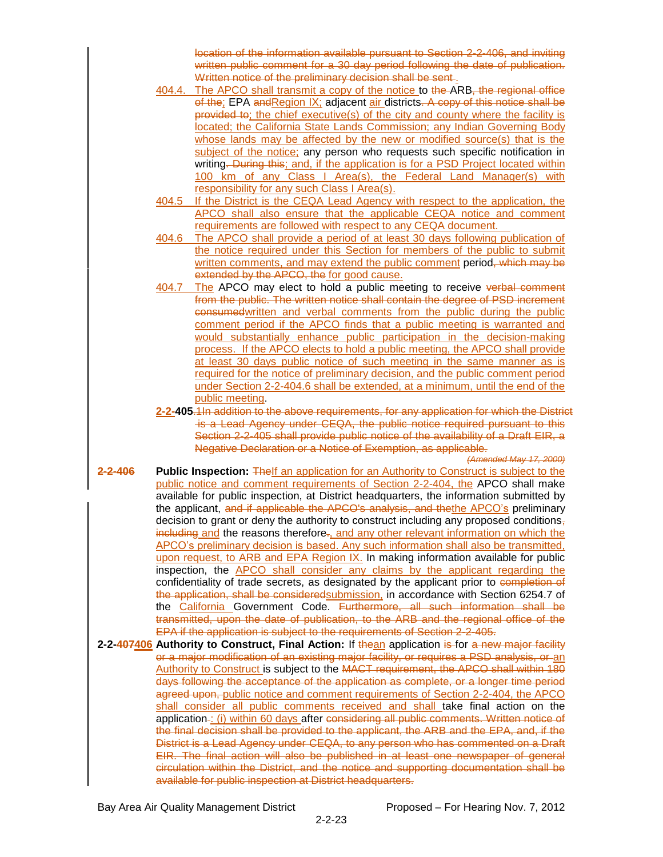location of the information available pursuant to Section 2-2-406, and inviting written public comment for a 30 day period following the date of publication. Written notice of the preliminary decision shall be sent.

- 404.4. The APCO shall transmit a copy of the notice to the ARB, the regional office of the; EPA and Region IX; adjacent air districts. A copy of this notice shall be provided to; the chief executive(s) of the city and county where the facility is located; the California State Lands Commission; any Indian Governing Body whose lands may be affected by the new or modified source(s) that is the subject of the notice; any person who requests such specific notification in writing. During this; and, if the application is for a PSD Project located within 100 km of any Class I Area(s), the Federal Land Manager(s) with responsibility for any such Class I Area(s).
- 404.5 If the District is the CEQA Lead Agency with respect to the application, the APCO shall also ensure that the applicable CEQA notice and comment requirements are followed with respect to any CEQA document.
- 404.6 The APCO shall provide a period of at least 30 days following publication of the notice required under this Section for members of the public to submit written comments, and may extend the public comment period, which may be extended by the APCO, the for good cause.
- 404.7 The APCO may elect to hold a public meeting to receive verbal comment from the public. The written notice shall contain the degree of PSD increment consumedwritten and verbal comments from the public during the public comment period if the APCO finds that a public meeting is warranted and would substantially enhance public participation in the decision-making process. If the APCO elects to hold a public meeting, the APCO shall provide at least 30 days public notice of such meeting in the same manner as is required for the notice of preliminary decision, and the public comment period under Section 2-2-404.6 shall be extended, at a minimum, until the end of the public meeting.
- **2-2-405**.1In addition to the above requirements, for any application for which the District is a Lead Agency under CEQA, the public notice required pursuant to this Section 2-2-405 shall provide public notice of the availability of a Draft EIR, a Negative Declaration or a Notice of Exemption, as applicable.
- *(Amended May 17, 2000)* **2-2-406 Public Inspection:** The If an application for an Authority to Construct is subject to the public notice and comment requirements of Section 2-2-404, the APCO shall make available for public inspection, at District headquarters, the information submitted by the applicant, and if applicable the APCO's analysis, and thethe APCO's preliminary decision to grant or deny the authority to construct including any proposed conditions, including and the reasons therefore., and any other relevant information on which the APCO's preliminary decision is based. Any such information shall also be transmitted, upon request, to ARB and EPA Region IX. In making information available for public inspection, the APCO shall consider any claims by the applicant regarding the confidentiality of trade secrets, as designated by the applicant prior to completion of the application, shall be consideredsubmission, in accordance with Section 6254.7 of the California Government Code. Furthermore, all such information shall be transmitted, upon the date of publication, to the ARB and the regional office of the EPA if the application is subject to the requirements of Section 2-2-405.
- **2-2-407406 Authority to Construct, Final Action:** If thean application is for a new major facility or a major modification of an existing major facility, or requires a PSD analysis, or an Authority to Construct is subject to the MACT requirement, the APCO shall within 180 days following the acceptance of the application as complete, or a longer time period agreed upon, public notice and comment requirements of Section 2-2-404, the APCO shall consider all public comments received and shall take final action on the application -: (i) within 60 days after considering all public comments. Written notice of the final decision shall be provided to the applicant, the ARB and the EPA, and, if the District is a Lead Agency under CEQA, to any person who has commented on a Draft EIR. The final action will also be published in at least one newspaper of general circulation within the District, and the notice and supporting documentation shall be available for public inspection at District headquarters.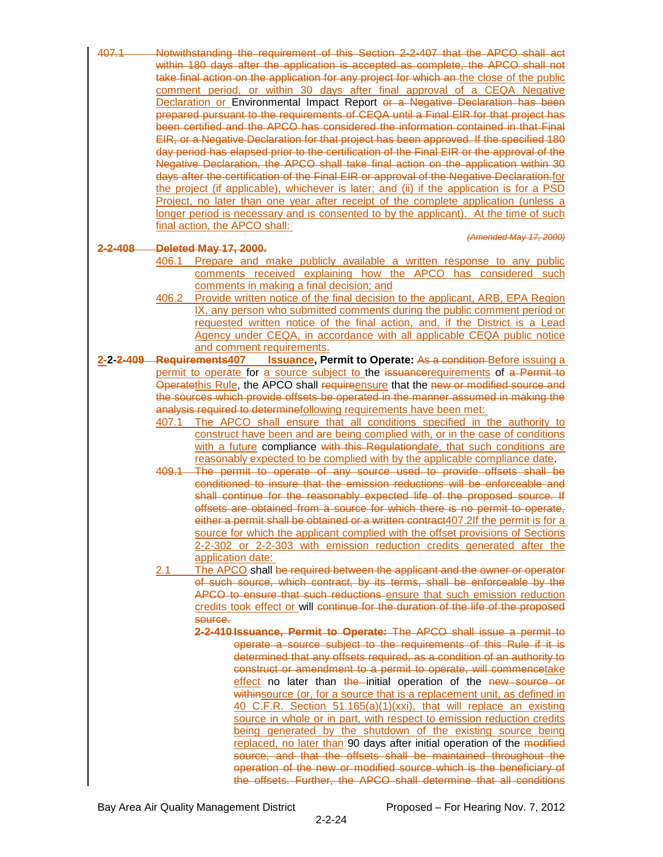| 407.1   | Notwithstanding the requirement of this Section 2-2-407 that the APCO shall act                                     |
|---------|---------------------------------------------------------------------------------------------------------------------|
|         | within 180 days after the application is accepted as complete, the APCO shall not                                   |
|         | take final action on the application for any project for which an-the close of the public                           |
|         | within 30 days after final approval<br><b>CEQA</b><br><b>Negative</b><br>period.<br>a<br><b>or</b><br>0t<br>comment |
|         | <b>Declaration or Environmental Impact Report or a Negative Declaration has been</b>                                |
|         | prepared pursuant to the requirements of CEQA until a Final EIR for that project has                                |
|         | been certified and the APCO has considered the information contained in that Final                                  |
|         | EIR, or a Negative Declaration for that project has been approved. If the specified 180                             |
|         | day period has elapsed prior to the certification of the Final EIR or the approval of the                           |
|         | Negative Declaration, the APCO shall take final action on the application within 30                                 |
|         | days after the certification of the Final EIR or approval of the Negative Declaration.for                           |
|         | the project (if applicable), whichever is later; and (ii) if the application is for a PSD                           |
|         | Project, no later than one year after receipt of the complete application (unless a                                 |
|         | longer period is necessary and is consented to by the applicant). At the time of such                               |
|         | final action, the APCO shall:                                                                                       |
|         | (Amended May 17, 2000)                                                                                              |
| 2-2-108 | <b>Deleted May 17, 2000.</b>                                                                                        |

- 406.1 Prepare and make publicly available a written response to any public comments received explaining how the APCO has considered such comments in making a final decision; and
- 406.2 Provide written notice of the final decision to the applicant, ARB, EPA Region IX, any person who submitted comments during the public comment period or requested written notice of the final action, and, if the District is a Lead Agency under CEQA, in accordance with all applicable CEQA public notice and comment requirements.
- **2-2-2-409 Requirements407 Issuance, Permit to Operate:** As a condition Before issuing a permit to operate for a source subject to the issuancerequirements of a Permit to Operatethis Rule, the APCO shall requireensure that the new or modified source and the sources which provide offsets be operated in the manner assumed in making the analysis required to determinefollowing requirements have been met:
	- 407.1 The APCO shall ensure that all conditions specified in the authority to construct have been and are being complied with, or in the case of conditions with a future compliance with this Regulationdate, that such conditions are reasonably expected to be complied with by the applicable compliance date.
	- 409.1 The permit to operate of any source used to provide offsets shall be conditioned to insure that the emission reductions will be enforceable and shall continue for the reasonably expected life of the proposed source. If offsets are obtained from a source for which there is no permit to operate, either a permit shall be obtained or a written contract407.2If the permit is for a source for which the applicant complied with the offset provisions of Sections 2-2-302 or 2-2-303 with emission reduction credits generated after the application date:
	- 2.1 The APCO shall be required between the applicant and the owner or operator of such source, which contract, by its terms, shall be enforceable by the APCO to ensure that such reductions ensure that such emission reduction credits took effect or will continue for the duration of the life of the proposed source.
		- **2-2-410 Issuance, Permit to Operate:** The APCO shall issue a permit to operate a source subject to the requirements of this Rule if it is determined that any offsets required, as a condition of an authority to construct or amendment to a permit to operate, will commencetake effect no later than the initial operation of the new source or withinsource (or, for a source that is a replacement unit, as defined in 40 C.F.R. Section 51.165(a)(1)(xxi), that will replace an existing source in whole or in part, with respect to emission reduction credits being generated by the shutdown of the existing source being replaced, no later than 90 days after initial operation of the modified source, and that the offsets shall be maintained throughout the operation of the new or modified source which is the beneficiary of the offsets. Further, the APCO shall determine that all conditions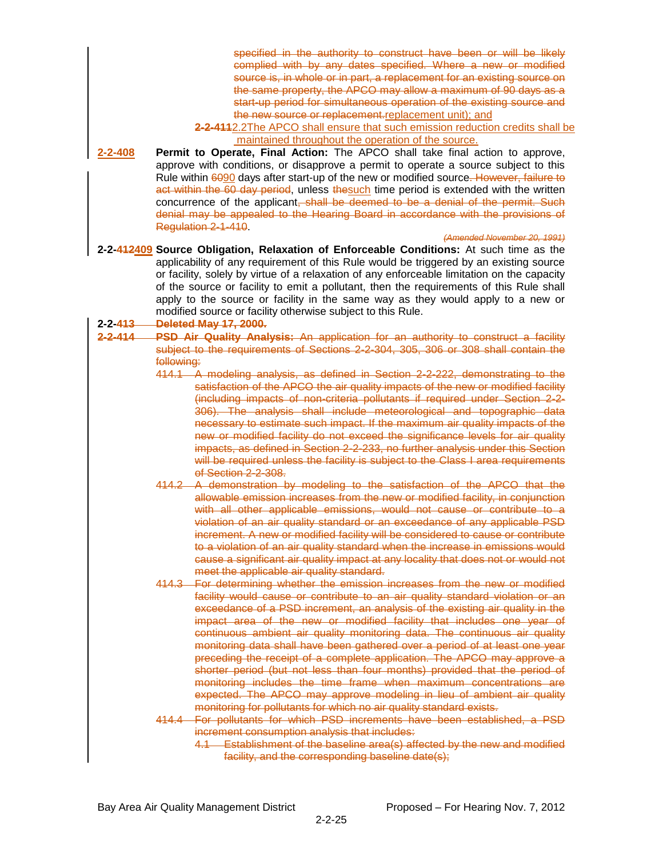| 2-2-408               | specified in the authority to construct have been or will be likely<br>complied with by any dates specified. Where a new or modified<br>source is, in whole or in part, a replacement for an existing source on<br>the same property, the APCO may allow a maximum of 90 days as a<br>start-up period for simultaneous operation of the existing source and<br>the new source or replacement.replacement unit); and<br>2-2-4112.2The APCO shall ensure that such emission reduction credits shall be<br>maintained throughout the operation of the source.<br>Permit to Operate, Final Action: The APCO shall take final action to approve,<br>approve with conditions, or disapprove a permit to operate a source subject to this<br>Rule within 6090 days after start-up of the new or modified source. However, failure to<br>act within the 60 day period, unless thesuch time period is extended with the written<br>concurrence of the applicant, shall be deemed to be a denial of the permit. Such<br>denial may be appealed to the Hearing Board in accordance with the provisions of<br>Regulation 2-1-410<br>(Amended November 20, 1991) |
|-----------------------|-----------------------------------------------------------------------------------------------------------------------------------------------------------------------------------------------------------------------------------------------------------------------------------------------------------------------------------------------------------------------------------------------------------------------------------------------------------------------------------------------------------------------------------------------------------------------------------------------------------------------------------------------------------------------------------------------------------------------------------------------------------------------------------------------------------------------------------------------------------------------------------------------------------------------------------------------------------------------------------------------------------------------------------------------------------------------------------------------------------------------------------------------------|
| 2-2- <del>413 —</del> | 2-2-412409 Source Obligation, Relaxation of Enforceable Conditions: At such time as the<br>applicability of any requirement of this Rule would be triggered by an existing source<br>or facility, solely by virtue of a relaxation of any enforceable limitation on the capacity<br>of the source or facility to emit a pollutant, then the requirements of this Rule shall<br>apply to the source or facility in the same way as they would apply to a new or<br>modified source or facility otherwise subject to this Rule.<br><b>Deleted May 17, 2000.</b>                                                                                                                                                                                                                                                                                                                                                                                                                                                                                                                                                                                       |
| $2 - 2 - 414$         | PSD Air Quality Analysis: An application for an authority to construct a facility                                                                                                                                                                                                                                                                                                                                                                                                                                                                                                                                                                                                                                                                                                                                                                                                                                                                                                                                                                                                                                                                   |
|                       | subject to the requirements of Sections 2-2-304, 305, 306 or 308 shall contain the<br>following:<br>414.1 A modeling analysis, as defined in Section 2-2-222, demonstrating to the<br>satisfaction of the APCO the air quality impacts of the new or modified facility<br>(including impacts of non-criteria pollutants if required under Section 2-2-<br>306). The analysis shall include meteorological and topographic data<br>necessary to estimate such impact. If the maximum air quality impacts of the<br>new or modified facility do not exceed the significance levels for air quality<br>impacts, as defined in Section 2-2-233, no further analysis under this Section<br>will be required unless the facility is subject to the Class I area requirements<br>of Section 2-2-308.<br>414.2 A demonstration by modeling to the satisfaction of the APCO that the                                                                                                                                                                                                                                                                         |
|                       | allowable emission increases from the new or modified facility, in conjunction<br>with all other applicable emissions, would not cause or contribute to a<br>violation of an air quality standard or an exceedance of any applicable PSD<br>increment. A new or modified facility will be considered to cause or contribute<br>to a violation of an air quality standard when the increase in emissions would<br>cause a significant air quality impact at any locality that does not or would not<br>meet the applicable air quality standard.<br>414.3 For determining whether the emission increases from the new or modified                                                                                                                                                                                                                                                                                                                                                                                                                                                                                                                    |
|                       | facility would cause or contribute to an air quality standard violation or an<br>exceedance of a PSD increment, an analysis of the existing air quality in the<br>impact area of the new or modified facility that includes one year of<br>continuous ambient air quality monitoring data. The continuous air quality<br>monitoring data shall have been gathered over a period of at least one year<br>preceding the receipt of a complete application. The APCO may approve a<br>shorter period (but not less than four months) provided that the period of<br>monitoring includes the time frame when maximum concentrations are<br>expected. The APCO may approve modeling in lieu of ambient air quality<br>monitoring for pollutants for which no air quality standard exists.<br>414.4 For pollutants for which PSD increments have been established, a PSD                                                                                                                                                                                                                                                                                  |
|                       | increment consumption analysis that includes:<br>4.1 Establishment of the baseline area(s) affected by the new and modified<br>facility, and the corresponding baseline date(s);                                                                                                                                                                                                                                                                                                                                                                                                                                                                                                                                                                                                                                                                                                                                                                                                                                                                                                                                                                    |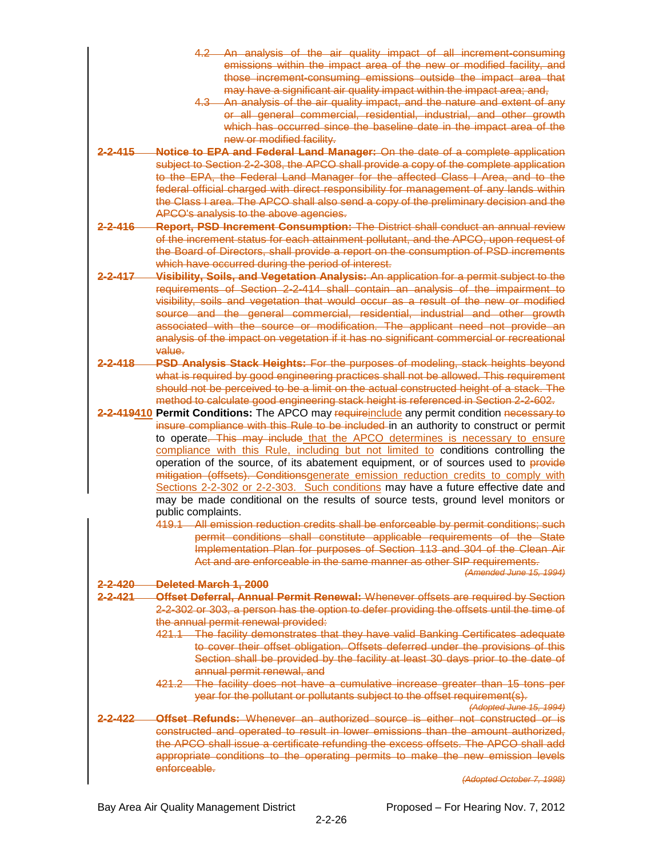- 4.2 An analysis of the air quality impact of all increment-consuming emissions within the impact area of the new or modified facility, and those increment-consuming emissions outside the impact area that may have a significant air quality impact within the impact area; and,
- 4.3 An analysis of the air quality impact, and the nature and extent of any or all general commercial, residential, industrial, and other growth which has occurred since the baseline date in the impact area of the new or modified facility.
- **2-2-415 Notice to EPA and Federal Land Manager:** On the date of a complete application subject to Section 2-2-308, the APCO shall provide a copy of the complete application to the EPA, the Federal Land Manager for the affected Class I Area, and to the federal official charged with direct responsibility for management of any lands within the Class I area. The APCO shall also send a copy of the preliminary decision and the APCO's analysis to the above agencies.
- **2-2-416 Report, PSD Increment Consumption:** The District shall conduct an annual review of the increment status for each attainment pollutant, and the APCO, upon request of the Board of Directors, shall provide a report on the consumption of PSD increments which have occurred during the period of interest.
- **2-2-417 Visibility, Soils, and Vegetation Analysis:** An application for a permit subject to the requirements of Section 2-2-414 shall contain an analysis of the impairment to visibility, soils and vegetation that would occur as a result of the new or modified source and the general commercial, residential, industrial and other growth associated with the source or modification. The applicant need not provide an analysis of the impact on vegetation if it has no significant commercial or recreational value.
- **2-2-418 PSD Analysis Stack Heights:** For the purposes of modeling, stack heights beyond what is required by good engineering practices shall not be allowed. This requirement should not be perceived to be a limit on the actual constructed height of a stack. The method to calculate good engineering stack height is referenced in Section 2-2-602.
- 2-2-419410 **Permit Conditions:** The APCO may require include any permit condition necessary to insure compliance with this Rule to be included in an authority to construct or permit to operate. This may include that the APCO determines is necessary to ensure compliance with this Rule, including but not limited to conditions controlling the operation of the source, of its abatement equipment, or of sources used to provide mitigation (offsets). Conditionsgenerate emission reduction credits to comply with Sections 2-2-302 or 2-2-303. Such conditions may have a future effective date and may be made conditional on the results of source tests, ground level monitors or public complaints.
	- 419.1 All emission reduction credits shall be enforceable by permit conditions; such permit conditions shall constitute applicable requirements of the State Implementation Plan for purposes of Section 113 and 304 of the Clean Air Act and are enforceable in the same manner as other SIP requirements.

*(Amended June 15, 1994)*

|                    | <u>דרטטר וטורט וטווורקן</u>                                                               |
|--------------------|-------------------------------------------------------------------------------------------|
| 2-420              | Deleted March 1, 2000                                                                     |
| <del>2-2-421</del> | Offset Deferral, Annual Permit Renewal: Whenever offsets are required by Section          |
|                    | 2-2-302 or 303, a person has the option to defer providing the offsets until the time of  |
|                    | the annual permit renewal provided:                                                       |
|                    | The facility demonstrates that they have valid Banking Certificates adequate              |
|                    | to cover their offset obligation. Offsets deferred under the provisions of this           |
|                    | Section shall be provided by the facility at least 30 days prior to the date of           |
|                    | annual permit renewal, and                                                                |
|                    | The facility does not have a cumulative increase greater than 15 tons per<br><u>AQ1 Q</u> |
|                    | year for the pollutant or pollutants subject to the offset requirement(s).                |
|                    | (Adopted June 15, 1994)                                                                   |
| ハつつ                | <del>Offset Refunds: Whenever an authorized source is either not constructed or is</del>  |
|                    | constructed and operated to result in lower emissions than the amount authorized.         |
|                    | the APCO shall issue a certificate refunding the excess offsets. The APCO shall add       |
|                    | appropriate conditions to the operating permits to make the new emission levels           |
|                    | enforceable.                                                                              |

*(Adopted October 7, 1998)*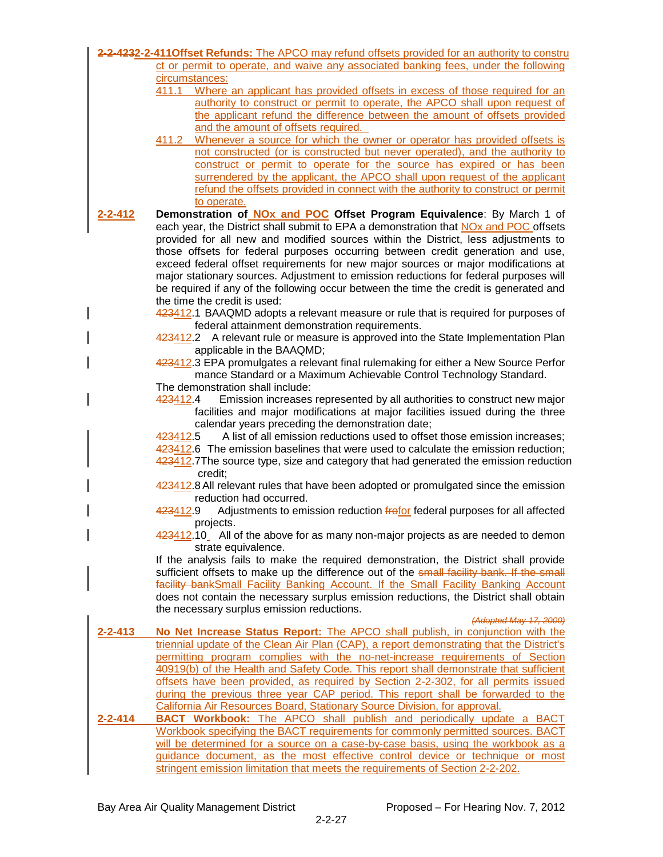|               | 2-2-4232-2-411 Offset Refunds: The APCO may refund offsets provided for an authority to constru                                                                            |
|---------------|----------------------------------------------------------------------------------------------------------------------------------------------------------------------------|
|               | ct or permit to operate, and waive any associated banking fees, under the following<br>circumstances:                                                                      |
|               | 411.1<br>Where an applicant has provided offsets in excess of those required for an                                                                                        |
|               | authority to construct or permit to operate, the APCO shall upon request of                                                                                                |
|               | the applicant refund the difference between the amount of offsets provided                                                                                                 |
|               | and the amount of offsets required.<br>Whenever a source for which the owner or operator has provided offsets is                                                           |
|               | 411.2<br>not constructed (or is constructed but never operated), and the authority to                                                                                      |
|               | construct or permit to operate for the source has expired or has been                                                                                                      |
|               | surrendered by the applicant, the APCO shall upon request of the applicant                                                                                                 |
|               | refund the offsets provided in connect with the authority to construct or permit                                                                                           |
|               | to operate.                                                                                                                                                                |
| $2 - 2 - 412$ | Demonstration of <b>NOx and POC</b> Offset Program Equivalence: By March 1 of<br>each year, the District shall submit to EPA a demonstration that NOx and POC offsets      |
|               | provided for all new and modified sources within the District, less adjustments to                                                                                         |
|               | those offsets for federal purposes occurring between credit generation and use,                                                                                            |
|               | exceed federal offset requirements for new major sources or major modifications at                                                                                         |
|               | major stationary sources. Adjustment to emission reductions for federal purposes will                                                                                      |
|               | be required if any of the following occur between the time the credit is generated and                                                                                     |
|               | the time the credit is used:                                                                                                                                               |
|               | 423412.1 BAAQMD adopts a relevant measure or rule that is required for purposes of<br>federal attainment demonstration requirements.                                       |
|               | 423412.2 A relevant rule or measure is approved into the State Implementation Plan                                                                                         |
|               | applicable in the BAAQMD;                                                                                                                                                  |
|               | 423412.3 EPA promulgates a relevant final rulemaking for either a New Source Perfor                                                                                        |
|               | mance Standard or a Maximum Achievable Control Technology Standard.                                                                                                        |
|               | The demonstration shall include:<br>423412.4                                                                                                                               |
|               | Emission increases represented by all authorities to construct new major<br>facilities and major modifications at major facilities issued during the three                 |
|               | calendar years preceding the demonstration date;                                                                                                                           |
|               | A list of all emission reductions used to offset those emission increases;<br>423412.5                                                                                     |
|               | 423412.6 The emission baselines that were used to calculate the emission reduction;                                                                                        |
|               | 423412.7The source type, size and category that had generated the emission reduction                                                                                       |
|               | credit;<br>423412.8 All relevant rules that have been adopted or promulgated since the emission                                                                            |
|               | reduction had occurred.                                                                                                                                                    |
|               | Adjustments to emission reduction frofor federal purposes for all affected<br>4 <del>23</del> 412.9                                                                        |
|               | projects.                                                                                                                                                                  |
|               | 423412.10 All of the above for as many non-major projects as are needed to demon                                                                                           |
|               | strate equivalence.<br>If the analysis fails to make the required demonstration, the District shall provide                                                                |
|               | sufficient offsets to make up the difference out of the small facility bank. If the small                                                                                  |
|               | facility bankSmall Facility Banking Account. If the Small Facility Banking Account                                                                                         |
|               | does not contain the necessary surplus emission reductions, the District shall obtain                                                                                      |
|               | the necessary surplus emission reductions.                                                                                                                                 |
| $2 - 2 - 413$ | (Adopted May 17, 2000)                                                                                                                                                     |
|               | No Net Increase Status Report: The APCO shall publish, in conjunction with the<br>triennial update of the Clean Air Plan (CAP), a report demonstrating that the District's |
|               | permitting program complies with the no-net-increase requirements of Section                                                                                               |
|               | 40919(b) of the Health and Safety Code. This report shall demonstrate that sufficient                                                                                      |
|               | offsets have been provided, as required by Section 2-2-302, for all permits issued                                                                                         |
|               | during the previous three year CAP period. This report shall be forwarded to the                                                                                           |
|               | California Air Resources Board, Stationary Source Division, for approval.                                                                                                  |
| 2-2-414       | <b>BACT Workbook:</b> The APCO shall publish and periodically update a BACT<br>Workbook specifying the BACT requirements for commonly permitted sources. BACT              |
|               | will be determined for a source on a case-by-case basis, using the workbook as a                                                                                           |
|               | guidance document, as the most effective control device or technique or most                                                                                               |
|               | stringent emission limitation that meets the requirements of Section 2-2-202.                                                                                              |
|               |                                                                                                                                                                            |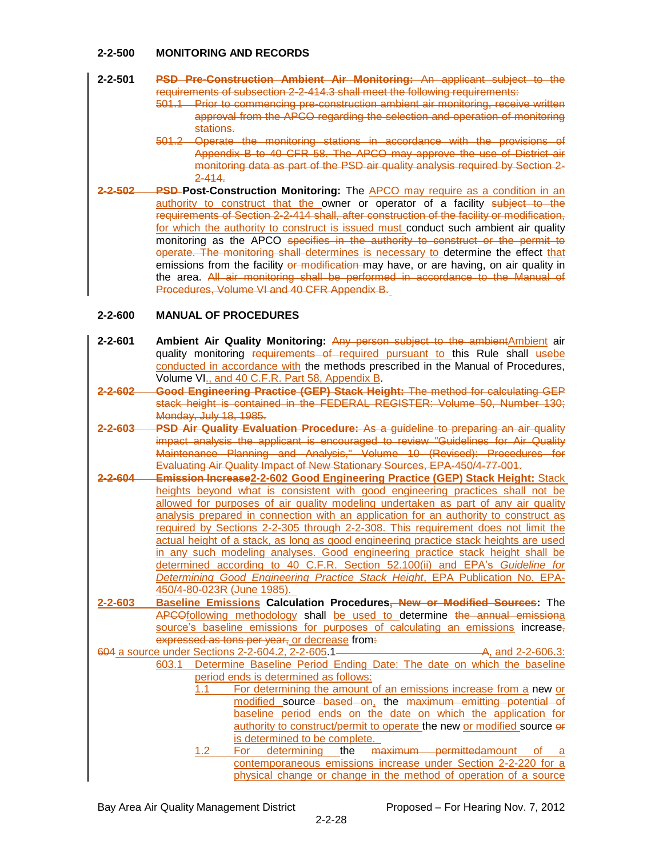### **2-2-500 MONITORING AND RECORDS**

#### **2-2-501 PSD Pre-Construction Ambient Air Monitoring:** An applicant subject to the requirements of subsection 2-2-414.3 shall meet the following requirements:

- 501.1 Prior to commencing pre-construction ambient air monitoring, receive written approval from the APCO regarding the selection and operation of monitoring stations.
- 501.2 Operate the monitoring stations in accordance with the provisions of Appendix B to 40 CFR 58. The APCO may approve the use of District air monitoring data as part of the PSD air quality analysis required by Section 2- 2-414.
- **2-2-502 PSD Post-Construction Monitoring:** The APCO may require as a condition in an authority to construct that the owner or operator of a facility subject to the requirements of Section 2-2-414 shall, after construction of the facility or modification, for which the authority to construct is issued must conduct such ambient air quality monitoring as the APCO specifies in the authority to construct or the permit to operate. The monitoring shall determines is necessary to determine the effect that emissions from the facility or modification may have, or are having, on air quality in the area. All air monitoring shall be performed in accordance to the Manual of Procedures, Volume VI and 40 CFR Appendix B.

# **2-2-600 MANUAL OF PROCEDURES**

- **2-2-601 Ambient Air Quality Monitoring:** Any person subject to the ambient Ambient air quality monitoring requirements of required pursuant to this Rule shall usebe conducted in accordance with the methods prescribed in the Manual of Procedures, Volume VI., and 40 C.F.R. Part 58, Appendix B.
- **2-2-602 Good Engineering Practice (GEP) Stack Height:** The method for calculating GEP stack height is contained in the FEDERAL REGISTER: Volume 50, Number 130; Monday, July 18, 1985.
- **2-2-603 PSD Air Quality Evaluation Procedure:** As a guideline to preparing an air quality impact analysis the applicant is encouraged to review "Guidelines for Air Quality Maintenance Planning and Analysis," Volume 10 (Revised): Procedures for Evaluating Air Quality Impact of New Stationary Sources, EPA-450/4-77-001.
- **2-2-604 Emission Increase2-2-602 Good Engineering Practice (GEP) Stack Height:** Stack heights beyond what is consistent with good engineering practices shall not be allowed for purposes of air quality modeling undertaken as part of any air quality analysis prepared in connection with an application for an authority to construct as required by Sections 2-2-305 through 2-2-308. This requirement does not limit the actual height of a stack, as long as good engineering practice stack heights are used in any such modeling analyses. Good engineering practice stack height shall be determined according to 40 C.F.R. Section 52.100(ii) and EPA's *Guideline for Determining Good Engineering Practice Stack Height*, EPA Publication No. EPA-450/4-80-023R (June 1985).
- **2-2-603 Baseline Emissions Calculation Procedures, New or Modified Sources:** The APCOfollowing methodology shall be used to determine the annual emissiona source's baseline emissions for purposes of calculating an emissions increase, expressed as tons per year, or decrease from.

604 a source under Sections 2-2-604.2, 2-2-605.1 A, and 2-2-606.3: 603.1 Determine Baseline Period Ending Date: The date on which the baseline period ends is determined as follows:

- 1.1 For determining the amount of an emissions increase from a new or modified source based on, the maximum emitting potential of baseline period ends on the date on which the application for authority to construct/permit to operate the new or modified source or is determined to be complete.
- 1.2 For determining the maximum permittedamount of contemporaneous emissions increase under Section 2-2-220 for a physical change or change in the method of operation of a source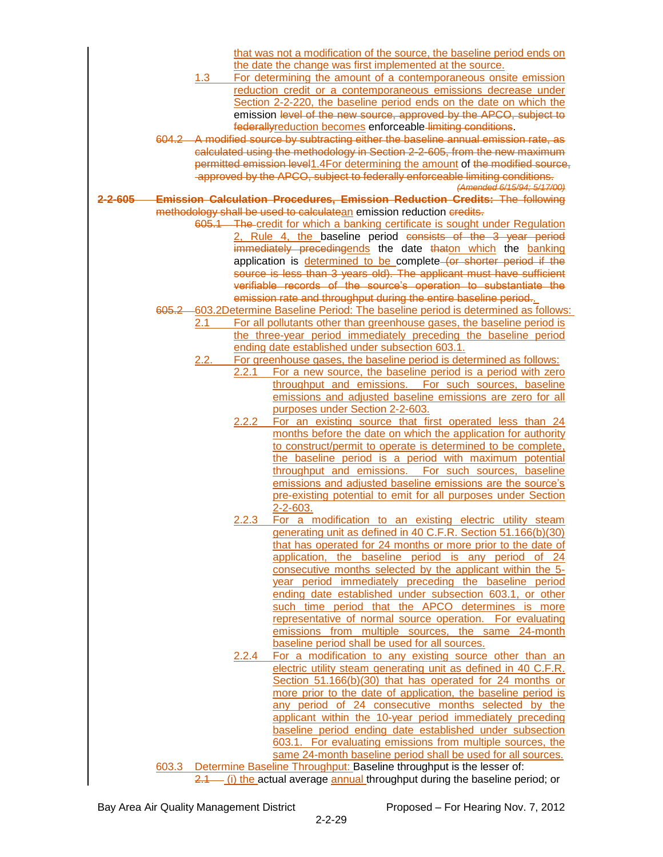|                 |       |         |              | that was not a modification of the source, the baseline period ends on                                                             |
|-----------------|-------|---------|--------------|------------------------------------------------------------------------------------------------------------------------------------|
|                 |       |         |              | the date the change was first implemented at the source.                                                                           |
|                 |       | $1.3 -$ |              | For determining the amount of a contemporaneous onsite emission                                                                    |
|                 |       |         |              | reduction credit or a contemporaneous emissions decrease under                                                                     |
|                 |       |         |              | Section 2-2-220, the baseline period ends on the date on which the                                                                 |
|                 |       |         |              | emission level of the new source, approved by the APCO, subject to                                                                 |
|                 |       |         |              | federallyreduction becomes enforceable limiting conditions.                                                                        |
|                 |       |         |              | 604.2 A modified source by subtracting either the baseline annual emission rate, as                                                |
|                 |       |         |              | calculated using the methodology in Section 2-2-605, from the new maximum                                                          |
|                 |       |         |              | permitted emission level1.4For determining the amount of the modified source,                                                      |
|                 |       |         |              | approved by the APCO, subject to federally enforceable limiting conditions.<br>(Amended 6/15/94; 5/17/00)                          |
| <u>2-2-605—</u> |       |         |              | <b>Emission Calculation Procedures, Emission Reduction Credits: The following</b>                                                  |
|                 |       |         |              | methodology shall be used to calculate an emission reduction credits.                                                              |
|                 |       |         |              | 605.1 The credit for which a banking certificate is sought under Regulation                                                        |
|                 |       |         |              | 2, Rule 4, the baseline period consists of the 3 year period                                                                       |
|                 |       |         |              | immediately precedingends the date thaton which the banking                                                                        |
|                 |       |         |              | application is determined to be complete (or shorter period if the                                                                 |
|                 |       |         |              | source is less than 3 years old). The applicant must have sufficient                                                               |
|                 |       |         |              | verifiable records of the source's operation to substantiate the                                                                   |
|                 |       |         |              | emission rate and throughput during the entire baseline period                                                                     |
|                 |       |         |              | 605.2 603.2 Determine Baseline Period: The baseline period is determined as follows:                                               |
|                 |       | 2.1     |              | For all pollutants other than greenhouse gases, the baseline period is                                                             |
|                 |       |         |              | the three-year period immediately preceding the baseline period                                                                    |
|                 |       |         |              | ending date established under subsection 603.1.                                                                                    |
|                 |       | 2.2.    | 2.2.1        | For greenhouse gases, the baseline period is determined as follows:<br>For a new source, the baseline period is a period with zero |
|                 |       |         |              | throughput and emissions. For such sources, baseline                                                                               |
|                 |       |         |              | emissions and adjusted baseline emissions are zero for all                                                                         |
|                 |       |         |              | purposes under Section 2-2-603.                                                                                                    |
|                 |       |         | 2.2.2        | For an existing source that first operated less than 24                                                                            |
|                 |       |         |              | months before the date on which the application for authority                                                                      |
|                 |       |         |              | to construct/permit to operate is determined to be complete,                                                                       |
|                 |       |         |              | the baseline period is a period with maximum potential                                                                             |
|                 |       |         |              | throughput and emissions. For such sources, baseline                                                                               |
|                 |       |         |              | emissions and adjusted baseline emissions are the source's                                                                         |
|                 |       |         |              | pre-existing potential to emit for all purposes under Section                                                                      |
|                 |       |         |              | $2 - 2 - 603$ .                                                                                                                    |
|                 |       |         | 2.2.3        | For a modification to an existing electric utility steam                                                                           |
|                 |       |         |              | generating unit as defined in 40 C.F.R. Section 51.166(b)(30)                                                                      |
|                 |       |         |              | that has operated for 24 months or more prior to the date of<br>application, the baseline period is any period of 24               |
|                 |       |         |              | consecutive months selected by the applicant within the 5-                                                                         |
|                 |       |         |              | year period immediately preceding the baseline period                                                                              |
|                 |       |         |              | ending date established under subsection 603.1, or other                                                                           |
|                 |       |         |              | such time period that the APCO determines is more                                                                                  |
|                 |       |         |              | representative of normal source operation. For evaluating                                                                          |
|                 |       |         |              | emissions from multiple sources, the same 24-month                                                                                 |
|                 |       |         |              | baseline period shall be used for all sources.                                                                                     |
|                 |       |         | <u>2.2.4</u> | For a modification to any existing source other than an                                                                            |
|                 |       |         |              | electric utility steam generating unit as defined in 40 C.F.R.                                                                     |
|                 |       |         |              | Section 51.166(b)(30) that has operated for 24 months or                                                                           |
|                 |       |         |              | more prior to the date of application, the baseline period is                                                                      |
|                 |       |         |              | any period of 24 consecutive months selected by the                                                                                |
|                 |       |         |              | applicant within the 10-year period immediately preceding<br>baseline period ending date established under subsection              |
|                 |       |         |              | 603.1. For evaluating emissions from multiple sources, the                                                                         |
|                 |       |         |              | same 24-month baseline period shall be used for all sources.                                                                       |
|                 | 603.3 |         |              | Determine Baseline Throughput: Baseline throughput is the lesser of:                                                               |
|                 |       |         |              | 2.1 (i) the actual average annual throughput during the baseline period; or                                                        |

Bay Area Air Quality Management District **Proposed – For Hearing Nov. 7, 2012**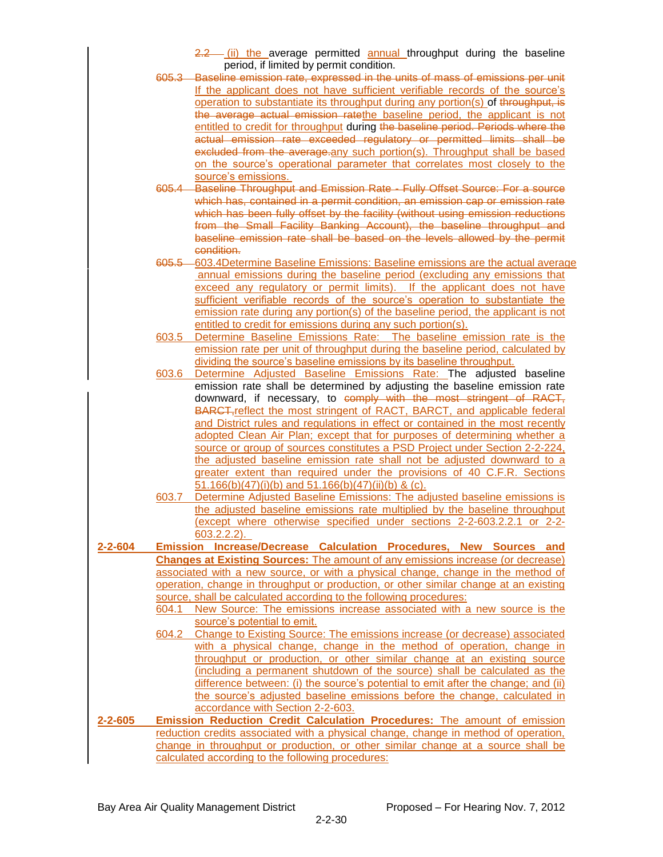|               |       | $2.2$ (ii) the average permitted annual throughput during the baseline                                                           |  |  |
|---------------|-------|----------------------------------------------------------------------------------------------------------------------------------|--|--|
|               |       | period, if limited by permit condition.<br>605.3 Baseline emission rate, expressed in the units of mass of emissions per unit    |  |  |
|               |       | If the applicant does not have sufficient verifiable records of the source's                                                     |  |  |
|               |       | operation to substantiate its throughput during any portion(s) of throughput, is                                                 |  |  |
|               |       | the average actual emission rate the baseline period, the applicant is not                                                       |  |  |
|               |       | entitled to credit for throughput during the baseline period. Periods where the                                                  |  |  |
|               |       | actual emission rate exceeded regulatory or permitted limits shall be                                                            |  |  |
|               |       | excluded from the average any such portion(s). Throughput shall be based                                                         |  |  |
|               |       | on the source's operational parameter that correlates most closely to the                                                        |  |  |
|               |       | source's emissions.                                                                                                              |  |  |
|               |       | 605.4 Baseline Throughput and Emission Rate - Fully Offset Source: For a source                                                  |  |  |
|               |       | which has, contained in a permit condition, an emission cap or emission rate                                                     |  |  |
|               |       | which has been fully offset by the facility (without using emission reductions                                                   |  |  |
|               |       | from the Small Facility Banking Account), the baseline throughput and                                                            |  |  |
|               |       | baseline emission rate shall be based on the levels allowed by the permit                                                        |  |  |
|               |       | condition.                                                                                                                       |  |  |
|               |       | 605.5 - 603.4 Determine Baseline Emissions: Baseline emissions are the actual average                                            |  |  |
|               |       | annual emissions during the baseline period (excluding any emissions that                                                        |  |  |
|               |       | exceed any regulatory or permit limits). If the applicant does not have                                                          |  |  |
|               |       | sufficient verifiable records of the source's operation to substantiate the                                                      |  |  |
|               |       | emission rate during any portion(s) of the baseline period, the applicant is not                                                 |  |  |
|               |       | entitled to credit for emissions during any such portion(s).                                                                     |  |  |
|               | 603.5 | Determine Baseline Emissions Rate: The baseline emission rate is the                                                             |  |  |
|               |       | emission rate per unit of throughput during the baseline period, calculated by                                                   |  |  |
|               |       | dividing the source's baseline emissions by its baseline throughput.                                                             |  |  |
|               | 603.6 | Determine Adjusted Baseline Emissions Rate: The adjusted baseline                                                                |  |  |
|               |       | emission rate shall be determined by adjusting the baseline emission rate                                                        |  |  |
|               |       | downward, if necessary, to comply with the most stringent of RACT,                                                               |  |  |
|               |       | <b>BARCT, reflect the most stringent of RACT, BARCT, and applicable federal</b>                                                  |  |  |
|               |       | and District rules and regulations in effect or contained in the most recently                                                   |  |  |
|               |       | adopted Clean Air Plan; except that for purposes of determining whether a                                                        |  |  |
|               |       | source or group of sources constitutes a PSD Project under Section 2-2-224,                                                      |  |  |
|               |       | the adjusted baseline emission rate shall not be adjusted downward to a                                                          |  |  |
|               |       | greater extent than required under the provisions of 40 C.F.R. Sections                                                          |  |  |
|               |       | 51.166(b)(47)(i)(b) and 51.166(b)(47)(ii)(b) & (c).<br>Determine Adjusted Baseline Emissions: The adjusted baseline emissions is |  |  |
|               | 603.7 | the adjusted baseline emissions rate multiplied by the baseline throughput                                                       |  |  |
|               |       | (except where otherwise specified under sections 2-2-603.2.2.1 or 2-2-                                                           |  |  |
|               |       | $603.2.2.2$ ).                                                                                                                   |  |  |
| $2 - 2 - 604$ |       | <b>Emission Increase/Decrease Calculation Procedures, New Sources and</b>                                                        |  |  |
|               |       | <b>Changes at Existing Sources:</b> The amount of any emissions increase (or decrease)                                           |  |  |
|               |       | associated with a new source, or with a physical change, change in the method of                                                 |  |  |
|               |       | operation, change in throughput or production, or other similar change at an existing                                            |  |  |
|               |       | source, shall be calculated according to the following procedures:                                                               |  |  |
|               | 604.1 | New Source: The emissions increase associated with a new source is the                                                           |  |  |
|               |       | source's potential to emit.                                                                                                      |  |  |
|               | 604.2 | Change to Existing Source: The emissions increase (or decrease) associated                                                       |  |  |
|               |       | with a physical change, change in the method of operation, change in                                                             |  |  |
|               |       | throughput or production, or other similar change at an existing source                                                          |  |  |
|               |       | (including a permanent shutdown of the source) shall be calculated as the                                                        |  |  |
|               |       | difference between: (i) the source's potential to emit after the change; and (ii)                                                |  |  |
|               |       | the source's adjusted baseline emissions before the change, calculated in                                                        |  |  |
|               |       | accordance with Section 2-2-603.                                                                                                 |  |  |
| $2 - 2 - 605$ |       | <b>Emission Reduction Credit Calculation Procedures:</b> The amount of emission                                                  |  |  |
|               |       | reduction credits associated with a physical change, change in method of operation,                                              |  |  |
|               |       | change in throughput or production, or other similar change at a source shall be                                                 |  |  |
|               |       | calculated according to the following procedures:                                                                                |  |  |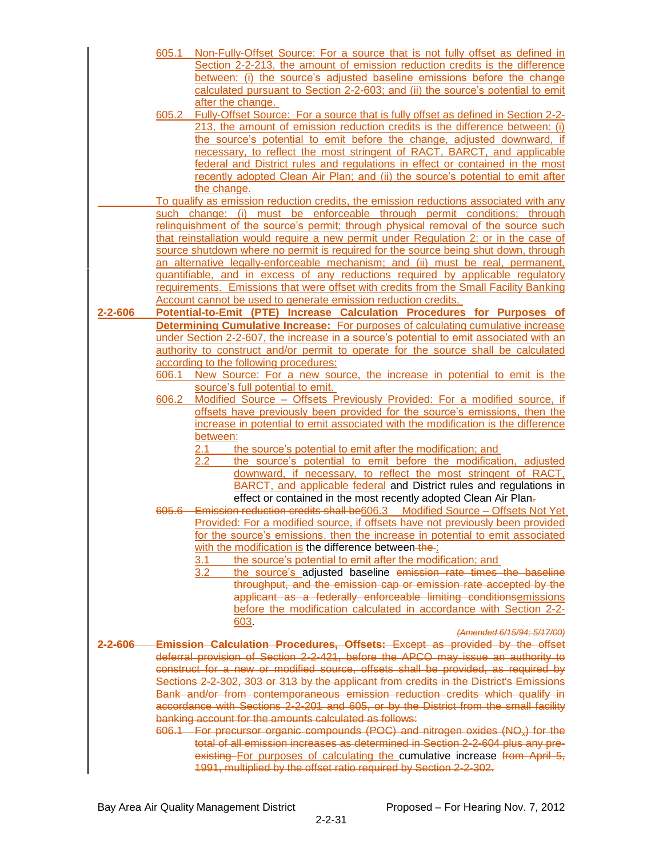|          | 605.1                                                                                                                                                                       | Non-Fully-Offset Source: For a source that is not fully offset as defined in                                                                                                 |  |
|----------|-----------------------------------------------------------------------------------------------------------------------------------------------------------------------------|------------------------------------------------------------------------------------------------------------------------------------------------------------------------------|--|
|          |                                                                                                                                                                             | Section 2-2-213, the amount of emission reduction credits is the difference                                                                                                  |  |
|          |                                                                                                                                                                             | between: (i) the source's adjusted baseline emissions before the change                                                                                                      |  |
|          |                                                                                                                                                                             | calculated pursuant to Section 2-2-603; and (ii) the source's potential to emit<br>after the change.                                                                         |  |
|          | 605.2                                                                                                                                                                       | Fully-Offset Source: For a source that is fully offset as defined in Section 2-2-                                                                                            |  |
|          |                                                                                                                                                                             | 213, the amount of emission reduction credits is the difference between: (i)                                                                                                 |  |
|          |                                                                                                                                                                             | the source's potential to emit before the change, adjusted downward, if                                                                                                      |  |
|          |                                                                                                                                                                             | necessary, to reflect the most stringent of RACT, BARCT, and applicable                                                                                                      |  |
|          |                                                                                                                                                                             | federal and District rules and regulations in effect or contained in the most                                                                                                |  |
|          |                                                                                                                                                                             | recently adopted Clean Air Plan; and (ii) the source's potential to emit after<br>the change.                                                                                |  |
|          |                                                                                                                                                                             | To qualify as emission reduction credits, the emission reductions associated with any                                                                                        |  |
|          |                                                                                                                                                                             | such change: (i) must be enforceable through permit conditions; through                                                                                                      |  |
|          |                                                                                                                                                                             | relinguishment of the source's permit; through physical removal of the source such                                                                                           |  |
|          | that reinstallation would require a new permit under Regulation 2; or in the case of<br>source shutdown where no permit is required for the source being shut down, through |                                                                                                                                                                              |  |
|          |                                                                                                                                                                             | an alternative legally-enforceable mechanism; and (ii) must be real, permanent,                                                                                              |  |
|          |                                                                                                                                                                             | quantifiable, and in excess of any reductions required by applicable regulatory                                                                                              |  |
|          |                                                                                                                                                                             | requirements. Emissions that were offset with credits from the Small Facility Banking                                                                                        |  |
|          |                                                                                                                                                                             | Account cannot be used to generate emission reduction credits.                                                                                                               |  |
| 2-2-606  |                                                                                                                                                                             | Potential-to-Emit (PTE) Increase Calculation Procedures for Purposes of                                                                                                      |  |
|          |                                                                                                                                                                             | <b>Determining Cumulative Increase:</b> For purposes of calculating cumulative increase                                                                                      |  |
|          |                                                                                                                                                                             | under Section 2-2-607, the increase in a source's potential to emit associated with an<br>authority to construct and/or permit to operate for the source shall be calculated |  |
|          |                                                                                                                                                                             | according to the following procedures:                                                                                                                                       |  |
|          | 606.1                                                                                                                                                                       | New Source: For a new source, the increase in potential to emit is the                                                                                                       |  |
|          |                                                                                                                                                                             | source's full potential to emit.                                                                                                                                             |  |
|          | 606.2                                                                                                                                                                       | Modified Source - Offsets Previously Provided: For a modified source, if                                                                                                     |  |
|          |                                                                                                                                                                             | offsets have previously been provided for the source's emissions, then the                                                                                                   |  |
|          |                                                                                                                                                                             | increase in potential to emit associated with the modification is the difference<br>between:                                                                                 |  |
|          |                                                                                                                                                                             | the source's potential to emit after the modification; and<br>2.1                                                                                                            |  |
|          |                                                                                                                                                                             | 2.2<br>the source's potential to emit before the modification, adjusted                                                                                                      |  |
|          |                                                                                                                                                                             | downward, if necessary, to reflect the most stringent of RACT,                                                                                                               |  |
|          |                                                                                                                                                                             | BARCT, and applicable federal and District rules and regulations in                                                                                                          |  |
|          |                                                                                                                                                                             | effect or contained in the most recently adopted Clean Air Plan-                                                                                                             |  |
|          | 605.6—                                                                                                                                                                      | Emission reduction credits shall be606.3  Modified Source - Offsets Not Yet<br>Provided: For a modified source, if offsets have not previously been provided                 |  |
|          |                                                                                                                                                                             | for the source's emissions, then the increase in potential to emit associated                                                                                                |  |
|          |                                                                                                                                                                             | with the modification is the difference between-the-                                                                                                                         |  |
|          |                                                                                                                                                                             | the source's potential to emit after the modification; and<br>3.1                                                                                                            |  |
|          |                                                                                                                                                                             | the source's adjusted baseline emission rate times the baseline<br>3.2                                                                                                       |  |
|          |                                                                                                                                                                             | throughput, and the emission cap or emission rate accepted by the                                                                                                            |  |
|          |                                                                                                                                                                             | applicant as a federally enforceable limiting conditionsemissions<br>before the modification calculated in accordance with Section 2-2-                                      |  |
|          |                                                                                                                                                                             | 603                                                                                                                                                                          |  |
|          |                                                                                                                                                                             | (Amended 6/15/94; 5/17/00)                                                                                                                                                   |  |
| 2-2-606- |                                                                                                                                                                             | Emission Calculation Procedures, Offsets: Except as provided by the offset                                                                                                   |  |
|          |                                                                                                                                                                             | deferral provision of Section 2-2-421, before the APCO may issue an authority to                                                                                             |  |
|          |                                                                                                                                                                             | construct for a new or modified source, offsets shall be provided, as required by                                                                                            |  |
|          | Sections 2-2-302, 303 or 313 by the applicant from credits in the District's Emissions<br>Bank and/or from contemporaneous emission reduction credits which qualify in      |                                                                                                                                                                              |  |
|          | accordance with Sections 2-2-201 and 605, or by the District from the small facility                                                                                        |                                                                                                                                                                              |  |
|          | banking account for the amounts calculated as follows:                                                                                                                      |                                                                                                                                                                              |  |
|          |                                                                                                                                                                             | 606.1 For precursor organic compounds (POC) and nitrogen oxides (NO <sub>*</sub> ) for the                                                                                   |  |
|          |                                                                                                                                                                             | total of all emission increases as determined in Section 2-2-604 plus any pre-                                                                                               |  |
|          |                                                                                                                                                                             | existing For purposes of calculating the cumulative increase from April 5,                                                                                                   |  |
|          |                                                                                                                                                                             | 1991, multiplied by the offset ratio required by Section 2-2-302.                                                                                                            |  |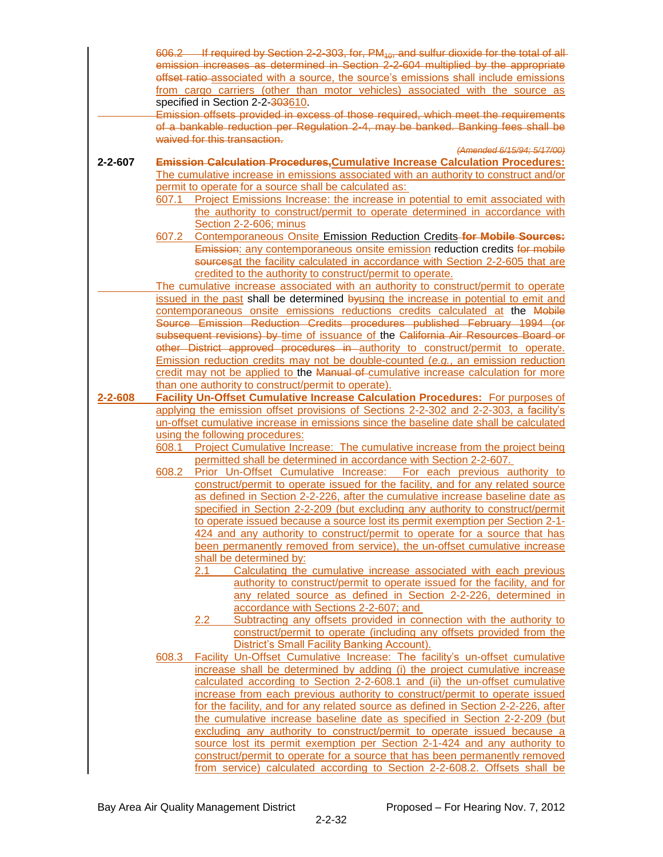|               |                                                                                       | 606.2 If required by Section 2-2-303, for, PM <sub>40</sub> , and sulfur dioxide for the total of all                                                 |  |
|---------------|---------------------------------------------------------------------------------------|-------------------------------------------------------------------------------------------------------------------------------------------------------|--|
|               |                                                                                       | emission increases as determined in Section 2-2-604 multiplied by the appropriate                                                                     |  |
|               |                                                                                       | offset ratio associated with a source, the source's emissions shall include emissions                                                                 |  |
|               |                                                                                       | from cargo carriers (other than motor vehicles) associated with the source as                                                                         |  |
|               |                                                                                       | specified in Section 2-2-303610.                                                                                                                      |  |
|               |                                                                                       | Emission offsets provided in excess of those required, which meet the requirements                                                                    |  |
|               |                                                                                       | of a bankable reduction per Regulation 2-4, may be banked. Banking fees shall be                                                                      |  |
|               |                                                                                       | waived for this transaction.                                                                                                                          |  |
|               |                                                                                       | (Amended 6/15/94; 5/17/00)                                                                                                                            |  |
| $2 - 2 - 607$ |                                                                                       | <b>Emission Calculation Procedures, Cumulative Increase Calculation Procedures:</b>                                                                   |  |
|               |                                                                                       | The cumulative increase in emissions associated with an authority to construct and/or                                                                 |  |
|               |                                                                                       | permit to operate for a source shall be calculated as:                                                                                                |  |
|               | 607.1                                                                                 | Project Emissions Increase: the increase in potential to emit associated with                                                                         |  |
|               |                                                                                       | the authority to construct/permit to operate determined in accordance with                                                                            |  |
|               |                                                                                       | Section 2-2-606; minus                                                                                                                                |  |
|               | 607.2                                                                                 | Contemporaneous Onsite Emission Reduction Credits-for Mobile Sources:                                                                                 |  |
|               |                                                                                       | Emission: any contemporaneous onsite emission reduction credits for mobile                                                                            |  |
|               |                                                                                       | sourcesat the facility calculated in accordance with Section 2-2-605 that are                                                                         |  |
|               |                                                                                       | credited to the authority to construct/permit to operate.                                                                                             |  |
|               |                                                                                       | The cumulative increase associated with an authority to construct/permit to operate                                                                   |  |
|               |                                                                                       | issued in the past shall be determined byusing the increase in potential to emit and                                                                  |  |
|               | contemporaneous onsite emissions reductions credits calculated at the Mobile          |                                                                                                                                                       |  |
|               |                                                                                       | Source Emission Reduction Credits procedures published February 1994 (or                                                                              |  |
|               |                                                                                       | subsequent revisions) by time of issuance of the California Air Resources Board or                                                                    |  |
|               |                                                                                       | other District approved procedures in authority to construct/permit to operate.                                                                       |  |
|               |                                                                                       | Emission reduction credits may not be double-counted (e.g., an emission reduction                                                                     |  |
|               |                                                                                       | credit may not be applied to the Manual of cumulative increase calculation for more                                                                   |  |
|               |                                                                                       | than one authority to construct/permit to operate).                                                                                                   |  |
| $2 - 2 - 608$ | <b>Facility Un-Offset Cumulative Increase Calculation Procedures: For purposes of</b> |                                                                                                                                                       |  |
|               |                                                                                       | applying the emission offset provisions of Sections 2-2-302 and 2-2-303, a facility's                                                                 |  |
|               |                                                                                       | un-offset cumulative increase in emissions since the baseline date shall be calculated                                                                |  |
|               |                                                                                       | using the following procedures:                                                                                                                       |  |
|               | 608.1                                                                                 | Project Cumulative Increase: The cumulative increase from the project being                                                                           |  |
|               |                                                                                       | permitted shall be determined in accordance with Section 2-2-607.                                                                                     |  |
|               | 608.2                                                                                 | Prior Un-Offset Cumulative Increase: For each previous authority to                                                                                   |  |
|               |                                                                                       | construct/permit to operate issued for the facility, and for any related source                                                                       |  |
|               |                                                                                       | as defined in Section 2-2-226, after the cumulative increase baseline date as                                                                         |  |
|               |                                                                                       | specified in Section 2-2-209 (but excluding any authority to construct/permit                                                                         |  |
|               |                                                                                       | to operate issued because a source lost its permit exemption per Section 2-1-                                                                         |  |
|               |                                                                                       | 424 and any authority to construct/permit to operate for a source that has                                                                            |  |
|               |                                                                                       | been permanently removed from service), the un-offset cumulative increase                                                                             |  |
|               |                                                                                       | shall be determined by:                                                                                                                               |  |
|               |                                                                                       | Calculating the cumulative increase associated with each previous<br>2.1<br>authority to construct/permit to operate issued for the facility, and for |  |
|               |                                                                                       |                                                                                                                                                       |  |
|               |                                                                                       | any related source as defined in Section 2-2-226, determined in<br>accordance with Sections 2-2-607; and                                              |  |
|               |                                                                                       | Subtracting any offsets provided in connection with the authority to<br>2.2                                                                           |  |
|               |                                                                                       | construct/permit to operate (including any offsets provided from the                                                                                  |  |
|               |                                                                                       | District's Small Facility Banking Account).                                                                                                           |  |
|               | 608.3                                                                                 | Facility Un-Offset Cumulative Increase: The facility's un-offset cumulative                                                                           |  |
|               |                                                                                       | increase shall be determined by adding (i) the project cumulative increase                                                                            |  |
|               |                                                                                       | calculated according to Section 2-2-608.1 and (ii) the un-offset cumulative                                                                           |  |
|               |                                                                                       | increase from each previous authority to construct/permit to operate issued                                                                           |  |
|               |                                                                                       | for the facility, and for any related source as defined in Section 2-2-226, after                                                                     |  |
|               |                                                                                       | the cumulative increase baseline date as specified in Section 2-2-209 (but                                                                            |  |
|               |                                                                                       | excluding any authority to construct/permit to operate issued because a                                                                               |  |
|               |                                                                                       | source lost its permit exemption per Section 2-1-424 and any authority to                                                                             |  |
|               |                                                                                       | construct/permit to operate for a source that has been permanently removed                                                                            |  |
|               |                                                                                       | from service) calculated according to Section 2-2-608.2. Offsets shall be                                                                             |  |
|               |                                                                                       |                                                                                                                                                       |  |